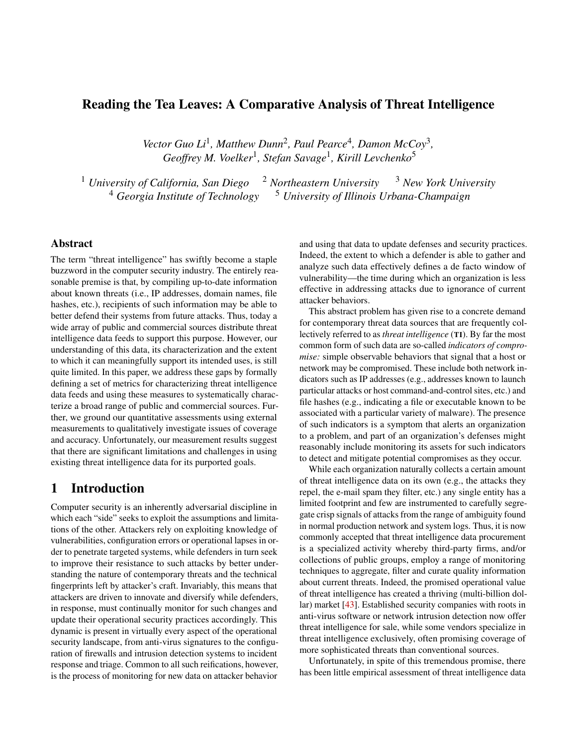# Reading the Tea Leaves: A Comparative Analysis of Threat Intelligence

Vector Guo Li<sup>1</sup>, Matthew Dunn<sup>2</sup>, Paul Pearce<sup>4</sup>, Damon McCoy<sup>3</sup>, *Geoffrey M. Voelker*<sup>1</sup> *, Stefan Savage*<sup>1</sup> *, Kirill Levchenko*<sup>5</sup>

<sup>1</sup> *University of California, San Diego* <sup>2</sup> *Northeastern University* <sup>3</sup> *New York University* <sup>4</sup> Georgia Institute of Technology <sup>5</sup> University of Illinois Urbana-Champaign

## Abstract

The term "threat intelligence" has swiftly become a staple buzzword in the computer security industry. The entirely reasonable premise is that, by compiling up-to-date information about known threats (i.e., IP addresses, domain names, file hashes, etc.), recipients of such information may be able to better defend their systems from future attacks. Thus, today a wide array of public and commercial sources distribute threat intelligence data feeds to support this purpose. However, our understanding of this data, its characterization and the extent to which it can meaningfully support its intended uses, is still quite limited. In this paper, we address these gaps by formally defining a set of metrics for characterizing threat intelligence data feeds and using these measures to systematically characterize a broad range of public and commercial sources. Further, we ground our quantitative assessments using external measurements to qualitatively investigate issues of coverage and accuracy. Unfortunately, our measurement results suggest that there are significant limitations and challenges in using existing threat intelligence data for its purported goals.

# 1 Introduction

Computer security is an inherently adversarial discipline in which each "side" seeks to exploit the assumptions and limitations of the other. Attackers rely on exploiting knowledge of vulnerabilities, configuration errors or operational lapses in order to penetrate targeted systems, while defenders in turn seek to improve their resistance to such attacks by better understanding the nature of contemporary threats and the technical fingerprints left by attacker's craft. Invariably, this means that attackers are driven to innovate and diversify while defenders, in response, must continually monitor for such changes and update their operational security practices accordingly. This dynamic is present in virtually every aspect of the operational security landscape, from anti-virus signatures to the configuration of firewalls and intrusion detection systems to incident response and triage. Common to all such reifications, however, is the process of monitoring for new data on attacker behavior

and using that data to update defenses and security practices. Indeed, the extent to which a defender is able to gather and analyze such data effectively defines a de facto window of vulnerability—the time during which an organization is less effective in addressing attacks due to ignorance of current attacker behaviors.

This abstract problem has given rise to a concrete demand for contemporary threat data sources that are frequently collectively referred to as *threat intelligence* (TI). By far the most common form of such data are so-called *indicators of compromise:* simple observable behaviors that signal that a host or network may be compromised. These include both network indicators such as IP addresses (e.g., addresses known to launch particular attacks or host command-and-control sites, etc.) and file hashes (e.g., indicating a file or executable known to be associated with a particular variety of malware). The presence of such indicators is a symptom that alerts an organization to a problem, and part of an organization's defenses might reasonably include monitoring its assets for such indicators to detect and mitigate potential compromises as they occur.

While each organization naturally collects a certain amount of threat intelligence data on its own (e.g., the attacks they repel, the e-mail spam they filter, etc.) any single entity has a limited footprint and few are instrumented to carefully segregate crisp signals of attacks from the range of ambiguity found in normal production network and system logs. Thus, it is now commonly accepted that threat intelligence data procurement is a specialized activity whereby third-party firms, and/or collections of public groups, employ a range of monitoring techniques to aggregate, filter and curate quality information about current threats. Indeed, the promised operational value of threat intelligence has created a thriving (multi-billion dollar) market [\[43\]](#page-16-0). Established security companies with roots in anti-virus software or network intrusion detection now offer threat intelligence for sale, while some vendors specialize in threat intelligence exclusively, often promising coverage of more sophisticated threats than conventional sources.

Unfortunately, in spite of this tremendous promise, there has been little empirical assessment of threat intelligence data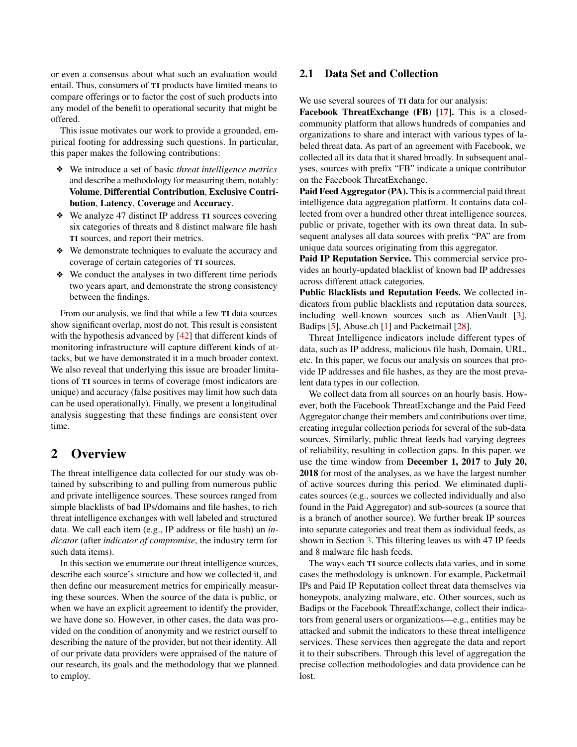or even a consensus about what such an evaluation would entail. Thus, consumers of TI products have limited means to compare offerings or to factor the cost of such products into any model of the benefit to operational security that might be offered.

This issue motivates our work to provide a grounded, empirical footing for addressing such questions. In particular, this paper makes the following contributions:

- ❖ We introduce a set of basic *threat intelligence metrics* and describe a methodology for measuring them, notably: Volume, Differential Contribution, Exclusive Contribution, Latency, Coverage and Accuracy.
- ❖ We analyze 47 distinct IP address TI sources covering six categories of threats and 8 distinct malware file hash TI sources, and report their metrics.
- ❖ We demonstrate techniques to evaluate the accuracy and coverage of certain categories of TI sources.
- ❖ We conduct the analyses in two different time periods two years apart, and demonstrate the strong consistency between the findings.

From our analysis, we find that while a few TI data sources show significant overlap, most do not. This result is consistent with the hypothesis advanced by [\[42\]](#page-16-1) that different kinds of monitoring infrastructure will capture different kinds of attacks, but we have demonstrated it in a much broader context. We also reveal that underlying this issue are broader limitations of TI sources in terms of coverage (most indicators are unique) and accuracy (false positives may limit how such data can be used operationally). Finally, we present a longitudinal analysis suggesting that these findings are consistent over time.

## 2 Overview

The threat intelligence data collected for our study was obtained by subscribing to and pulling from numerous public and private intelligence sources. These sources ranged from simple blacklists of bad IPs/domains and file hashes, to rich threat intelligence exchanges with well labeled and structured data. We call each item (e.g., IP address or file hash) an *indicator* (after *indicator of compromise*, the industry term for such data items).

In this section we enumerate our threat intelligence sources, describe each source's structure and how we collected it, and then define our measurement metrics for empirically measuring these sources. When the source of the data is public, or when we have an explicit agreement to identify the provider, we have done so. However, in other cases, the data was provided on the condition of anonymity and we restrict ourself to describing the nature of the provider, but not their identity. All of our private data providers were appraised of the nature of our research, its goals and the methodology that we planned to employ.

## 2.1 Data Set and Collection

We use several sources of **TI** data for our analysis:

Facebook ThreatExchange (FB) [\[17\]](#page-16-2). This is a closedcommunity platform that allows hundreds of companies and organizations to share and interact with various types of labeled threat data. As part of an agreement with Facebook, we collected all its data that it shared broadly. In subsequent analyses, sources with prefix "FB" indicate a unique contributor on the Facebook ThreatExchange.

Paid Feed Aggregator (PA). This is a commercial paid threat intelligence data aggregation platform. It contains data collected from over a hundred other threat intelligence sources, public or private, together with its own threat data. In subsequent analyses all data sources with prefix "PA" are from unique data sources originating from this aggregator.

Paid IP Reputation Service. This commercial service provides an hourly-updated blacklist of known bad IP addresses across different attack categories.

Public Blacklists and Reputation Feeds. We collected indicators from public blacklists and reputation data sources, including well-known sources such as AlienVault [\[3\]](#page-15-0), Badips [\[5\]](#page-15-1), Abuse.ch [\[1\]](#page-15-2) and Packetmail [\[28\]](#page-16-3).

Threat Intelligence indicators include different types of data, such as IP address, malicious file hash, Domain, URL, etc. In this paper, we focus our analysis on sources that provide IP addresses and file hashes, as they are the most prevalent data types in our collection.

We collect data from all sources on an hourly basis. However, both the Facebook ThreatExchange and the Paid Feed Aggregator change their members and contributions over time, creating irregular collection periods for several of the sub-data sources. Similarly, public threat feeds had varying degrees of reliability, resulting in collection gaps. In this paper, we use the time window from December 1, 2017 to July 20, 2018 for most of the analyses, as we have the largest number of active sources during this period. We eliminated duplicates sources (e.g., sources we collected individually and also found in the Paid Aggregator) and sub-sources (a source that is a branch of another source). We further break IP sources into separate categories and treat them as individual feeds, as shown in Section [3.](#page-3-0) This filtering leaves us with 47 IP feeds and 8 malware file hash feeds.

The ways each TI source collects data varies, and in some cases the methodology is unknown. For example, Packetmail IPs and Paid IP Reputation collect threat data themselves via honeypots, analyzing malware, etc. Other sources, such as Badips or the Facebook ThreatExchange, collect their indicators from general users or organizations—e.g., entities may be attacked and submit the indicators to these threat intelligence services. These services then aggregate the data and report it to their subscribers. Through this level of aggregation the precise collection methodologies and data providence can be lost.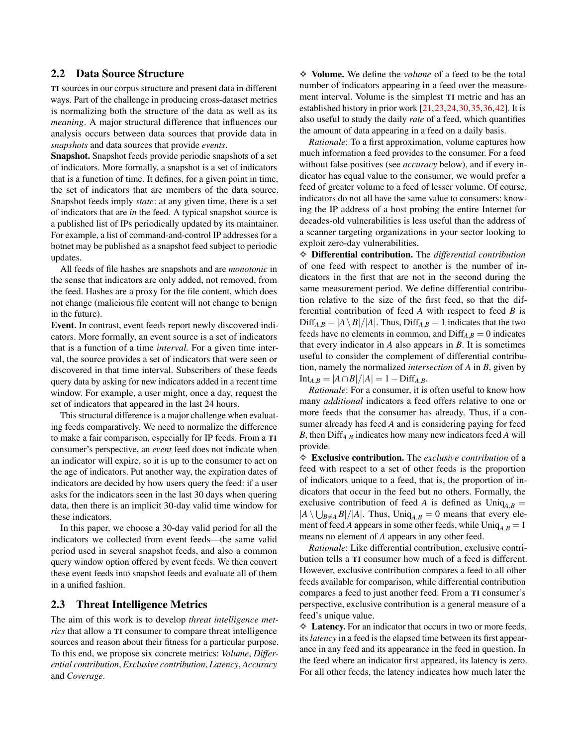## <span id="page-2-0"></span>2.2 Data Source Structure

TI sources in our corpus structure and present data in different ways. Part of the challenge in producing cross-dataset metrics is normalizing both the structure of the data as well as its *meaning*. A major structural difference that influences our analysis occurs between data sources that provide data in *snapshots* and data sources that provide *events*.

Snapshot. Snapshot feeds provide periodic snapshots of a set of indicators. More formally, a snapshot is a set of indicators that is a function of time. It defines, for a given point in time, the set of indicators that are members of the data source. Snapshot feeds imply *state*: at any given time, there is a set of indicators that are *in* the feed. A typical snapshot source is a published list of IPs periodically updated by its maintainer. For example, a list of command-and-control IP addresses for a botnet may be published as a snapshot feed subject to periodic updates.

All feeds of file hashes are snapshots and are *monotonic* in the sense that indicators are only added, not removed, from the feed. Hashes are a proxy for the file content, which does not change (malicious file content will not change to benign in the future).

Event. In contrast, event feeds report newly discovered indicators. More formally, an event source is a set of indicators that is a function of a time *interval.* For a given time interval, the source provides a set of indicators that were seen or discovered in that time interval. Subscribers of these feeds query data by asking for new indicators added in a recent time window. For example, a user might, once a day, request the set of indicators that appeared in the last 24 hours.

This structural difference is a major challenge when evaluating feeds comparatively. We need to normalize the difference to make a fair comparison, especially for IP feeds. From a TI consumer's perspective, an *event* feed does not indicate when an indicator will expire, so it is up to the consumer to act on the age of indicators. Put another way, the expiration dates of indicators are decided by how users query the feed: if a user asks for the indicators seen in the last 30 days when quering data, then there is an implicit 30-day valid time window for these indicators.

In this paper, we choose a 30-day valid period for all the indicators we collected from event feeds—the same valid period used in several snapshot feeds, and also a common query window option offered by event feeds. We then convert these event feeds into snapshot feeds and evaluate all of them in a unified fashion.

### <span id="page-2-1"></span>2.3 Threat Intelligence Metrics

The aim of this work is to develop *threat intelligence metrics* that allow a TI consumer to compare threat intelligence sources and reason about their fitness for a particular purpose. To this end, we propose six concrete metrics: *Volume*, *Differential contribution*, *Exclusive contribution*, *Latency*, *Accuracy* and *Coverage*.

✧ Volume. We define the *volume* of a feed to be the total number of indicators appearing in a feed over the measurement interval. Volume is the simplest TI metric and has an established history in prior work [\[21](#page-16-4)[,23,](#page-16-5)[24,](#page-16-6)[30,](#page-16-7)[35,](#page-16-8)[36,](#page-16-9)[42\]](#page-16-1). It is also useful to study the daily *rate* of a feed, which quantifies the amount of data appearing in a feed on a daily basis.

*Rationale*: To a first approximation, volume captures how much information a feed provides to the consumer. For a feed without false positives (see *accuracy* below), and if every indicator has equal value to the consumer, we would prefer a feed of greater volume to a feed of lesser volume. Of course, indicators do not all have the same value to consumers: knowing the IP address of a host probing the entire Internet for decades-old vulnerabilities is less useful than the address of a scanner targeting organizations in your sector looking to exploit zero-day vulnerabilities.

✧ Differential contribution. The *differential contribution* of one feed with respect to another is the number of indicators in the first that are not in the second during the same measurement period. We define differential contribution relative to the size of the first feed, so that the differential contribution of feed *A* with respect to feed *B* is  $Diff_{A,B} = |A \setminus B|/|A|$ . Thus,  $Diff_{A,B} = 1$  indicates that the two feeds have no elements in common, and  $\text{Diff}_{A,B} = 0$  indicates that every indicator in *A* also appears in *B*. It is sometimes useful to consider the complement of differential contribution, namely the normalized *intersection* of *A* in *B*, given by  $Int_{A,B} = |A ∩ B| / |A| = 1 - Diff_{A,B}.$ 

*Rationale*: For a consumer, it is often useful to know how many *additional* indicators a feed offers relative to one or more feeds that the consumer has already. Thus, if a consumer already has feed *A* and is considering paying for feed *B*, then Diff*A*,*<sup>B</sup>* indicates how many new indicators feed *A* will provide.

✧ Exclusive contribution. The *exclusive contribution* of a feed with respect to a set of other feeds is the proportion of indicators unique to a feed, that is, the proportion of indicators that occur in the feed but no others. Formally, the exclusive contribution of feed *A* is defined as  $\text{Uniq}_{A,B}$  =  $|A \setminus \bigcup_{B \neq A} B|/|A|$ . Thus,  $\text{Uniq}_{A,B} = 0$  means that every element of feed *A* appears in some other feeds, while  $\text{Uniq}_{A,B} = 1$ means no element of *A* appears in any other feed.

*Rationale*: Like differential contribution, exclusive contribution tells a TI consumer how much of a feed is different. However, exclusive contribution compares a feed to all other feeds available for comparison, while differential contribution compares a feed to just another feed. From a TI consumer's perspective, exclusive contribution is a general measure of a feed's unique value.

 $\Diamond$  Latency. For an indicator that occurs in two or more feeds, its *latency* in a feed is the elapsed time between its first appearance in any feed and its appearance in the feed in question. In the feed where an indicator first appeared, its latency is zero. For all other feeds, the latency indicates how much later the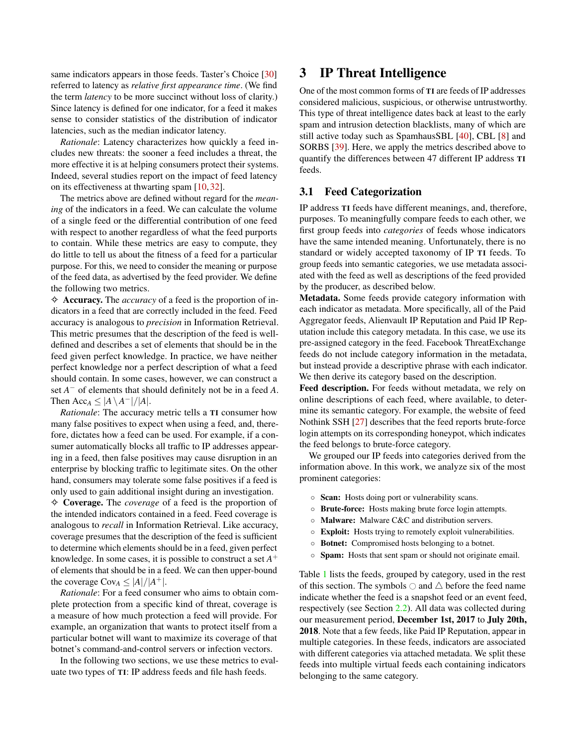same indicators appears in those feeds. Taster's Choice [\[30\]](#page-16-7) referred to latency as *relative first appearance time*. (We find the term *latency* to be more succinct without loss of clarity.) Since latency is defined for one indicator, for a feed it makes sense to consider statistics of the distribution of indicator latencies, such as the median indicator latency.

*Rationale*: Latency characterizes how quickly a feed includes new threats: the sooner a feed includes a threat, the more effective it is at helping consumers protect their systems. Indeed, several studies report on the impact of feed latency on its effectiveness at thwarting spam [\[10,](#page-15-3) [32\]](#page-16-10).

The metrics above are defined without regard for the *meaning* of the indicators in a feed. We can calculate the volume of a single feed or the differential contribution of one feed with respect to another regardless of what the feed purports to contain. While these metrics are easy to compute, they do little to tell us about the fitness of a feed for a particular purpose. For this, we need to consider the meaning or purpose of the feed data, as advertised by the feed provider. We define the following two metrics.

✧ Accuracy. The *accuracy* of a feed is the proportion of indicators in a feed that are correctly included in the feed. Feed accuracy is analogous to *precision* in Information Retrieval. This metric presumes that the description of the feed is welldefined and describes a set of elements that should be in the feed given perfect knowledge. In practice, we have neither perfect knowledge nor a perfect description of what a feed should contain. In some cases, however, we can construct a set *A* <sup>−</sup> of elements that should definitely not be in a feed *A*. Then  $Acc_A \leq |A \setminus A^-|/|A|$ .

*Rationale*: The accuracy metric tells a TI consumer how many false positives to expect when using a feed, and, therefore, dictates how a feed can be used. For example, if a consumer automatically blocks all traffic to IP addresses appearing in a feed, then false positives may cause disruption in an enterprise by blocking traffic to legitimate sites. On the other hand, consumers may tolerate some false positives if a feed is only used to gain additional insight during an investigation.

✧ Coverage. The *coverage* of a feed is the proportion of the intended indicators contained in a feed. Feed coverage is analogous to *recall* in Information Retrieval. Like accuracy, coverage presumes that the description of the feed is sufficient to determine which elements should be in a feed, given perfect knowledge. In some cases, it is possible to construct a set *A* + of elements that should be in a feed. We can then upper-bound the coverage  $Cov_A \leq |A|/|A^+|$ .

*Rationale*: For a feed consumer who aims to obtain complete protection from a specific kind of threat, coverage is a measure of how much protection a feed will provide. For example, an organization that wants to protect itself from a particular botnet will want to maximize its coverage of that botnet's command-and-control servers or infection vectors.

In the following two sections, we use these metrics to evaluate two types of TI: IP address feeds and file hash feeds.

# <span id="page-3-0"></span>3 IP Threat Intelligence

One of the most common forms of TI are feeds of IP addresses considered malicious, suspicious, or otherwise untrustworthy. This type of threat intelligence dates back at least to the early spam and intrusion detection blacklists, many of which are still active today such as SpamhausSBL [\[40\]](#page-16-11), CBL [\[8\]](#page-15-4) and SORBS [\[39\]](#page-16-12). Here, we apply the metrics described above to quantify the differences between 47 different IP address TI feeds.

#### 3.1 Feed Categorization

IP address TI feeds have different meanings, and, therefore, purposes. To meaningfully compare feeds to each other, we first group feeds into *categories* of feeds whose indicators have the same intended meaning. Unfortunately, there is no standard or widely accepted taxonomy of IP TI feeds. To group feeds into semantic categories, we use metadata associated with the feed as well as descriptions of the feed provided by the producer, as described below.

Metadata. Some feeds provide category information with each indicator as metadata. More specifically, all of the Paid Aggregator feeds, Alienvault IP Reputation and Paid IP Reputation include this category metadata. In this case, we use its pre-assigned category in the feed. Facebook ThreatExchange feeds do not include category information in the metadata, but instead provide a descriptive phrase with each indicator. We then derive its category based on the description.

Feed description. For feeds without metadata, we rely on online descriptions of each feed, where available, to determine its semantic category. For example, the website of feed Nothink SSH [\[27\]](#page-16-13) describes that the feed reports brute-force login attempts on its corresponding honeypot, which indicates the feed belongs to brute-force category.

We grouped our IP feeds into categories derived from the information above. In this work, we analyze six of the most prominent categories:

- Scan: Hosts doing port or vulnerability scans.
- Brute-force: Hosts making brute force login attempts.
- Malware: Malware C&C and distribution servers.
- Exploit: Hosts trying to remotely exploit vulnerabilities.
- Botnet: Compromised hosts belonging to a botnet.
- Spam: Hosts that sent spam or should not originate email.

Table [1](#page-4-0) lists the feeds, grouped by category, used in the rest of this section. The symbols  $\bigcirc$  and  $\bigtriangleup$  before the feed name indicate whether the feed is a snapshot feed or an event feed, respectively (see Section [2.2\)](#page-2-0). All data was collected during our measurement period, December 1st, 2017 to July 20th, 2018. Note that a few feeds, like Paid IP Reputation, appear in multiple categories. In these feeds, indicators are associated with different categories via attached metadata. We split these feeds into multiple virtual feeds each containing indicators belonging to the same category.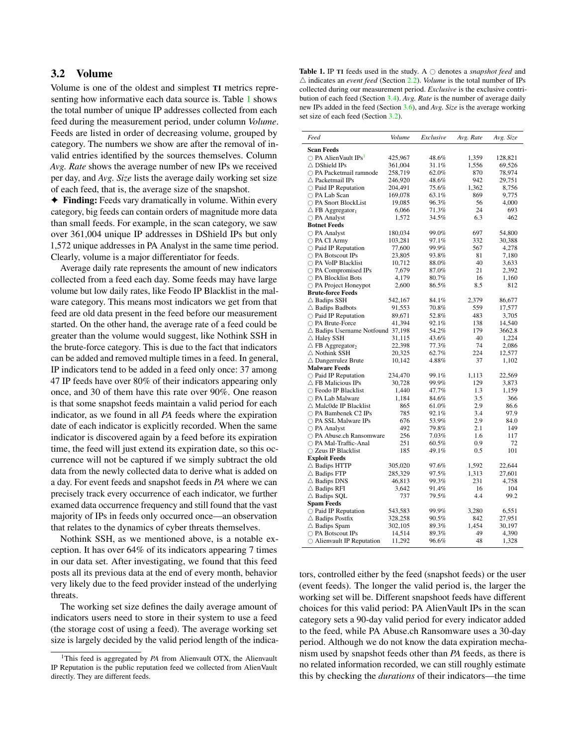## <span id="page-4-1"></span>3.2 Volume

Volume is one of the oldest and simplest TI metrics representing how informative each data source is. Table [1](#page-4-0) shows the total number of unique IP addresses collected from each feed during the measurement period, under column *Volume*. Feeds are listed in order of decreasing volume, grouped by category. The numbers we show are after the removal of invalid entries identified by the sources themselves. Column *Avg. Rate* shows the average number of new IPs we received per day, and *Avg. Size* lists the average daily working set size of each feed, that is, the average size of the snapshot.

✦ Finding: Feeds vary dramatically in volume. Within every category, big feeds can contain orders of magnitude more data than small feeds. For example, in the scan category, we saw over 361,004 unique IP addresses in DShield IPs but only 1,572 unique addresses in PA Analyst in the same time period. Clearly, volume is a major differentiator for feeds.

Average daily rate represents the amount of new indicators collected from a feed each day. Some feeds may have large volume but low daily rates, like Feodo IP Blacklist in the malware category. This means most indicators we get from that feed are old data present in the feed before our measurement started. On the other hand, the average rate of a feed could be greater than the volume would suggest, like Nothink SSH in the brute-force category. This is due to the fact that indicators can be added and removed multiple times in a feed. In general, IP indicators tend to be added in a feed only once: 37 among 47 IP feeds have over 80% of their indicators appearing only once, and 30 of them have this rate over 90%. One reason is that some snapshot feeds maintain a valid period for each indicator, as we found in all *PA* feeds where the expiration date of each indicator is explicitly recorded. When the same indicator is discovered again by a feed before its expiration time, the feed will just extend its expiration date, so this occurrence will not be captured if we simply subtract the old data from the newly collected data to derive what is added on a day. For event feeds and snapshot feeds in *PA* where we can precisely track every occurrence of each indicator, we further examed data occurrence frequency and still found that the vast majority of IPs in feeds only occurred once—an observation that relates to the dynamics of cyber threats themselves.

Nothink SSH, as we mentioned above, is a notable exception. It has over 64% of its indicators appearing 7 times in our data set. After investigating, we found that this feed posts all its previous data at the end of every month, behavior very likely due to the feed provider instead of the underlying threats.

The working set size defines the daily average amount of indicators users need to store in their system to use a feed (the storage cost of using a feed). The average working set size is largely decided by the valid period length of the indica-

<span id="page-4-0"></span>Table 1. IP TI feeds used in the study. A  $\bigcirc$  denotes a *snapshot feed* and  $\triangle$  indicates an *event feed* (Section [2.2\)](#page-2-0). *Volume* is the total number of IPs collected during our measurement period. *Exclusive* is the exclusive contribution of each feed (Section [3.4\)](#page-5-0). *Avg. Rate* is the number of average daily new IPs added in the feed (Section [3.6\)](#page-7-0), and *Avg. Size* is the average working set size of each feed (Section [3.2\)](#page-4-1).

| Feed                                        | Volume  | Exclusive | Avg. Rate | Avg. Size |
|---------------------------------------------|---------|-----------|-----------|-----------|
| <b>Scan Feeds</b>                           |         |           |           |           |
| $\bigcirc$ PA AlienVault IPs <sup>1</sup>   | 425,967 | 48.6%     | 1,359     | 128,821   |
| $\triangle$ DShield IPs                     | 361,004 | 31.1%     | 1,556     | 69,526    |
| $\bigcirc$ PA Packetmail ramnode            | 258,719 | 62.0%     | 870       | 78,974    |
| $\triangle$ Packetmail IPs                  | 246,920 | 48.6%     | 942       | 29,751    |
| $\bigcirc$ Paid IP Reputation               | 204,491 | 75.6%     | 1,362     | 8,756     |
| ○ PA Lab Scan                               | 169,078 | 63.1%     | 869       | 9,775     |
| ○ PA Snort BlockList                        | 19,085  | 96.3%     | 56        | 4,000     |
| $\triangle$ FB Aggregator <sub>1</sub>      | 6,066   | $71.3\%$  | 24        | 693       |
| $\bigcirc$ PA Analyst                       | 1,572   | 34.5%     | 6.3       | 462       |
| <b>Botnet Feeds</b>                         |         |           |           |           |
| $\bigcirc$ PA Analyst                       | 180,034 | 99.0%     | 697       | 54,800    |
| $\bigcirc$ PA CI Army                       | 103,281 | 97.1%     | 332       | 30,388    |
| $\bigcirc$ Paid IP Reputation               | 77,600  | 99.9%     | 567       | 4,278     |
| $\bigcirc$ PA Botscout IPs                  | 23,805  | 93.8%     | 81        | 7,180     |
| ◯ PA VoIP Blacklist                         | 10,712  | 88.0%     | 40        | 3,633     |
| ◯ PA Compromised IPs                        | 7,679   | 87.0%     | 21        | 2,392     |
| ◯ PA Blocklist Bots                         | 4,179   | 80.7%     | 16        | 1,160     |
| $\bigcirc$ PA Project Honeypot              | 2,600   | 86.5%     | 8.5       | 812       |
| <b>Brute-force Feeds</b>                    |         |           |           |           |
| $\triangle$ Badips SSH                      | 542,167 | 84.1%     | 2,379     | 86,677    |
| $\triangle$ Badips Badbots                  | 91,553  | 70.8%     | 559       | 17,577    |
| $\bigcirc$ Paid IP Reputation               | 89,671  | 52.8%     | 483       | 3,705     |
| ○ PA Brute-Force                            | 41,394  | 92.1%     | 138       | 14,540    |
| $\triangle$ Badips Username Notfound 37,198 |         | 54.2%     | 179       | 3662.8    |
| $\triangle$ Haley SSH                       | 31,115  | 43.6%     | 40        | 1,224     |
| $\triangle$ FB Aggregator <sub>2</sub>      | 22,398  | 77.3%     | 74        | 2,086     |
| $\triangle$ Nothink SSH                     | 20,325  | 62.7%     | 224       | 12,577    |
| $\triangle$ Dangerrulez Brute               | 10,142  | 4.88%     | 37        | 1,102     |
| <b>Malware Feeds</b>                        |         |           |           |           |
| $\bigcirc$ Paid IP Reputation               | 234,470 | 99.1%     | 1,113     | 22,569    |
| $\triangle$ FB Malicious IPs                | 30,728  | 99.9%     | 129       | 3,873     |
| ◯ Feodo IP Blacklist                        | 1,440   | 47.7%     | 1.3       | 1,159     |
| ○ PA Lab Malware                            | 1,184   | 84.6%     | 3.5       | 366       |
| $\triangle$ Malc0de IP Blacklist            | 865     | 61.0%     | 2.9       | 86.6      |
| $\bigcirc$ PA Bambenek C2 IPs               | 785     | 92.1%     | 3.4       | 97.9      |
| ○ PA SSL Malware IPs                        | 676     | 53.9%     | 2.9       | 84.0      |
| $\bigcirc$ PA Analyst                       | 492     | 79.8%     | 2.1       | 149       |
| $\bigcirc$ PA Abuse.ch Ransomware           | 256     | 7.03%     | 1.6       | 117       |
| ○ PA Mal-Traffic-Anal                       | 251     | 60.5%     | 0.9       | 72        |
| ○ Zeus IP Blacklist                         | 185     | 49.1%     | 0.5       | 101       |
| <b>Exploit Feeds</b>                        |         |           |           |           |
| $\triangle$ Badips HTTP                     | 305,020 | 97.6%     | 1,592     | 22,644    |
| $\triangle$ Badips FTP                      | 285,329 | 97.5%     | 1,313     | 27,601    |
| $\triangle$ Badips DNS                      | 46,813  | 99.3%     | 231       | 4,758     |
| $\triangle$ Badips RFI                      | 3,642   | 91.4%     | 16        | 104       |
| $\triangle$ Badips SQL                      | 737     | 79.5%     | 4.4       | 99.2      |
| <b>Spam Feeds</b>                           |         |           |           |           |
| $\bigcirc$ Paid IP Reputation               | 543,583 | 99.9%     | 3,280     | 6,551     |
| $\triangle$ Badips Postfix                  | 328,258 | 90.5%     | 842       | 27,951    |
| $\triangle$ Badips Spam                     | 302,105 | 89.3%     | 1,454     | 30,197    |
| ○ PA Botscout IPs                           | 14,514  | 89.3%     | 49        | 4,390     |
| $\bigcirc$ Alienvault IP Reputation         | 11,292  | 96.6%     | 48        | 1,328     |

tors, controlled either by the feed (snapshot feeds) or the user (event feeds). The longer the valid period is, the larger the working set will be. Different snapshoot feeds have different choices for this valid period: PA AlienVault IPs in the scan category sets a 90-day valid period for every indicator added to the feed, while PA Abuse.ch Ransomware uses a 30-day period. Although we do not know the data expiration mechanism used by snapshot feeds other than *PA* feeds, as there is no related information recorded, we can still roughly estimate this by checking the *durations* of their indicators—the time

<span id="page-4-2"></span><sup>&</sup>lt;sup>1</sup>This feed is aggregated by *PA* from Alienvault OTX, the Alienvault IP Reputation is the public reputation feed we collected from AlienVault directly. They are different feeds.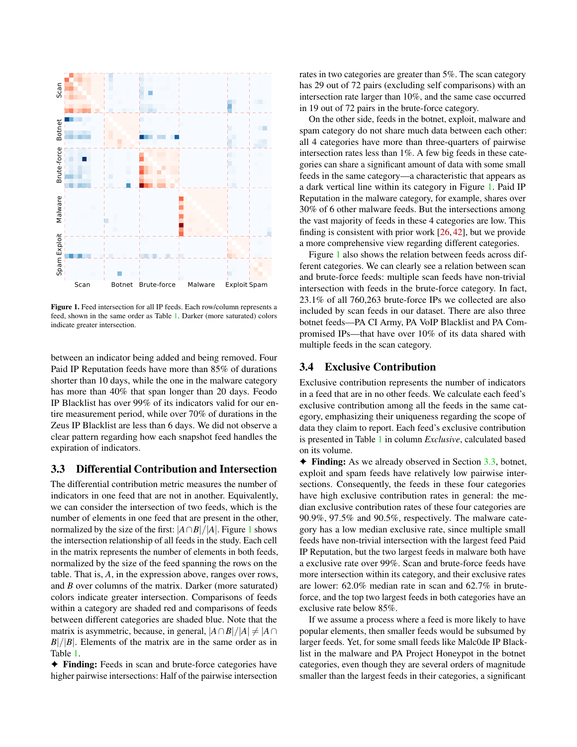<span id="page-5-1"></span>

Figure 1. Feed intersection for all IP feeds. Each row/column represents a feed, shown in the same order as Table [1.](#page-4-0) Darker (more saturated) colors indicate greater intersection.

between an indicator being added and being removed. Four Paid IP Reputation feeds have more than 85% of durations shorter than 10 days, while the one in the malware category has more than 40% that span longer than 20 days. Feodo IP Blacklist has over 99% of its indicators valid for our entire measurement period, while over 70% of durations in the Zeus IP Blacklist are less than 6 days. We did not observe a clear pattern regarding how each snapshot feed handles the expiration of indicators.

## <span id="page-5-2"></span>3.3 Differential Contribution and Intersection

The differential contribution metric measures the number of indicators in one feed that are not in another. Equivalently, we can consider the intersection of two feeds, which is the number of elements in one feed that are present in the other, normalized by the size of the first:  $|A \cap B|/|A|$ . Figure [1](#page-5-1) shows the intersection relationship of all feeds in the study. Each cell in the matrix represents the number of elements in both feeds, normalized by the size of the feed spanning the rows on the table. That is, *A*, in the expression above, ranges over rows, and *B* over columns of the matrix. Darker (more saturated) colors indicate greater intersection. Comparisons of feeds within a category are shaded red and comparisons of feeds between different categories are shaded blue. Note that the matrix is asymmetric, because, in general,  $|A \cap B|/|A| \neq |A \cap B|$  $B|/|B|$ . Elements of the matrix are in the same order as in Table [1.](#page-4-0)

✦ Finding: Feeds in scan and brute-force categories have higher pairwise intersections: Half of the pairwise intersection

rates in two categories are greater than 5%. The scan category has 29 out of 72 pairs (excluding self comparisons) with an intersection rate larger than 10%, and the same case occurred in 19 out of 72 pairs in the brute-force category.

On the other side, feeds in the botnet, exploit, malware and spam category do not share much data between each other: all 4 categories have more than three-quarters of pairwise intersection rates less than 1%. A few big feeds in these categories can share a significant amount of data with some small feeds in the same category—a characteristic that appears as a dark vertical line within its category in Figure [1.](#page-5-1) Paid IP Reputation in the malware category, for example, shares over 30% of 6 other malware feeds. But the intersections among the vast majority of feeds in these 4 categories are low. This finding is consistent with prior work  $[26, 42]$  $[26, 42]$  $[26, 42]$ , but we provide a more comprehensive view regarding different categories.

Figure [1](#page-5-1) also shows the relation between feeds across different categories. We can clearly see a relation between scan and brute-force feeds: multiple scan feeds have non-trivial intersection with feeds in the brute-force category. In fact, 23.1% of all 760,263 brute-force IPs we collected are also included by scan feeds in our dataset. There are also three botnet feeds—PA CI Army, PA VoIP Blacklist and PA Compromised IPs—that have over 10% of its data shared with multiple feeds in the scan category.

#### <span id="page-5-0"></span>3.4 Exclusive Contribution

Exclusive contribution represents the number of indicators in a feed that are in no other feeds. We calculate each feed's exclusive contribution among all the feeds in the same category, emphasizing their uniqueness regarding the scope of data they claim to report. Each feed's exclusive contribution is presented in Table [1](#page-4-0) in column *Exclusive*, calculated based on its volume.

 $\blacklozenge$  Finding: As we already observed in Section [3.3,](#page-5-2) botnet, exploit and spam feeds have relatively low pairwise intersections. Consequently, the feeds in these four categories have high exclusive contribution rates in general: the median exclusive contribution rates of these four categories are 90.9%, 97.5% and 90.5%, respectively. The malware category has a low median exclusive rate, since multiple small feeds have non-trivial intersection with the largest feed Paid IP Reputation, but the two largest feeds in malware both have a exclusive rate over 99%. Scan and brute-force feeds have more intersection within its category, and their exclusive rates are lower: 62.0% median rate in scan and 62.7% in bruteforce, and the top two largest feeds in both categories have an exclusive rate below 85%.

If we assume a process where a feed is more likely to have popular elements, then smaller feeds would be subsumed by larger feeds. Yet, for some small feeds like Malc0de IP Blacklist in the malware and PA Project Honeypot in the botnet categories, even though they are several orders of magnitude smaller than the largest feeds in their categories, a significant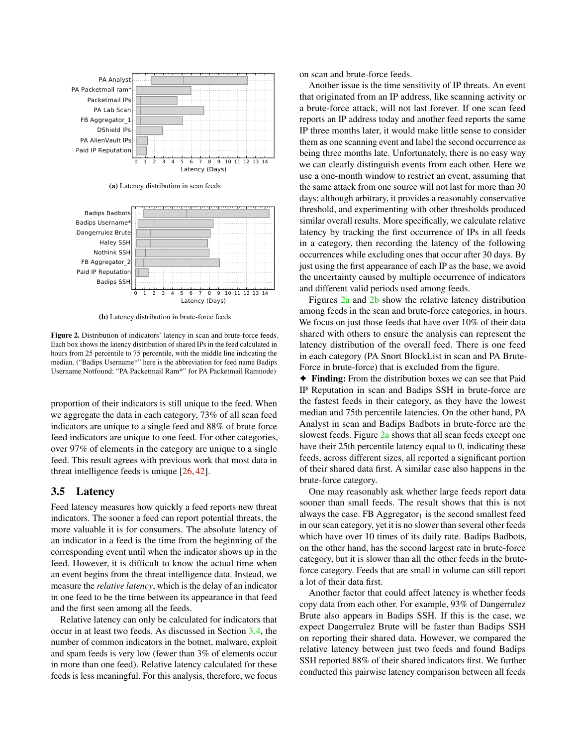<span id="page-6-0"></span>

(a) Latency distribution in scan feeds

<span id="page-6-1"></span>

(b) Latency distribution in brute-force feeds

Figure 2. Distribution of indicators' latency in scan and brute-force feeds. Each box shows the latency distribution of shared IPs in the feed calculated in hours from 25 percentile to 75 percentile, with the middle line indicating the median. ("Badips Username\*" here is the abbreviation for feed name Badips Username Notfound; "PA Packetmail Ram\*" for PA Packetmail Ramnode)

proportion of their indicators is still unique to the feed. When we aggregate the data in each category, 73% of all scan feed indicators are unique to a single feed and 88% of brute force feed indicators are unique to one feed. For other categories, over 97% of elements in the category are unique to a single feed. This result agrees with previous work that most data in threat intelligence feeds is unique [\[26,](#page-16-14) [42\]](#page-16-1).

#### <span id="page-6-2"></span>3.5 Latency

Feed latency measures how quickly a feed reports new threat indicators. The sooner a feed can report potential threats, the more valuable it is for consumers. The absolute latency of an indicator in a feed is the time from the beginning of the corresponding event until when the indicator shows up in the feed. However, it is difficult to know the actual time when an event begins from the threat intelligence data. Instead, we measure the *relative latency*, which is the delay of an indicator in one feed to be the time between its appearance in that feed and the first seen among all the feeds.

Relative latency can only be calculated for indicators that occur in at least two feeds. As discussed in Section [3.4,](#page-5-0) the number of common indicators in the botnet, malware, exploit and spam feeds is very low (fewer than 3% of elements occur in more than one feed). Relative latency calculated for these feeds is less meaningful. For this analysis, therefore, we focus

on scan and brute-force feeds.

Another issue is the time sensitivity of IP threats. An event that originated from an IP address, like scanning activity or a brute-force attack, will not last forever. If one scan feed reports an IP address today and another feed reports the same IP three months later, it would make little sense to consider them as one scanning event and label the second occurrence as being three months late. Unfortunately, there is no easy way we can clearly distinguish events from each other. Here we use a one-month window to restrict an event, assuming that the same attack from one source will not last for more than 30 days; although arbitrary, it provides a reasonably conservative threshold, and experimenting with other thresholds produced similar overall results. More specifically, we calculate relative latency by tracking the first occurrence of IPs in all feeds in a category, then recording the latency of the following occurrences while excluding ones that occur after 30 days. By just using the first appearance of each IP as the base, we avoid the uncertainty caused by multiple occurrence of indicators and different valid periods used among feeds.

Figures [2a](#page-6-0) and [2b](#page-6-1) show the relative latency distribution among feeds in the scan and brute-force categories, in hours. We focus on just those feeds that have over 10% of their data shared with others to ensure the analysis can represent the latency distribution of the overall feed. There is one feed in each category (PA Snort BlockList in scan and PA Brute-Force in brute-force) that is excluded from the figure.

✦ Finding: From the distribution boxes we can see that Paid IP Reputation in scan and Badips SSH in brute-force are the fastest feeds in their category, as they have the lowest median and 75th percentile latencies. On the other hand, PA Analyst in scan and Badips Badbots in brute-force are the slowest feeds. Figure [2a](#page-6-0) shows that all scan feeds except one have their 25th percentile latency equal to 0, indicating these feeds, across different sizes, all reported a significant portion of their shared data first. A similar case also happens in the brute-force category.

One may reasonably ask whether large feeds report data sooner than small feeds. The result shows that this is not always the case. FB  $\text{Aggregation}_1$  is the second smallest feed in our scan category, yet it is no slower than several other feeds which have over 10 times of its daily rate. Badips Badbots, on the other hand, has the second largest rate in brute-force category, but it is slower than all the other feeds in the bruteforce category. Feeds that are small in volume can still report a lot of their data first.

Another factor that could affect latency is whether feeds copy data from each other. For example, 93% of Dangerrulez Brute also appears in Badips SSH. If this is the case, we expect Dangerrulez Brute will be faster than Badips SSH on reporting their shared data. However, we compared the relative latency between just two feeds and found Badips SSH reported 88% of their shared indicators first. We further conducted this pairwise latency comparison between all feeds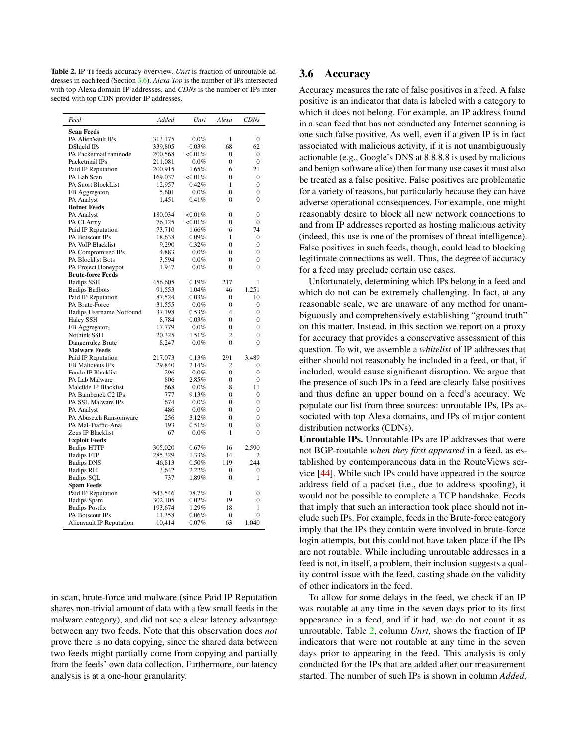<span id="page-7-1"></span>Table 2. IP TI feeds accuracy overview. *Unrt* is fraction of unroutable addresses in each feed (Section [3.6\)](#page-7-0). *Alexa Top* is the number of IPs intersected with top Alexa domain IP addresses, and *CDNs* is the number of IPs intersected with top CDN provider IP addresses.

| Feed                            | Added   | Unrt       | Alexa            | <b>CDNs</b>    |
|---------------------------------|---------|------------|------------------|----------------|
| <b>Scan Feeds</b>               |         |            |                  |                |
| PA AlienVault IPs               | 313,175 | $0.0\%$    | 1                | $\overline{0}$ |
| DShield IPs                     | 339,805 | 0.03%      | 68               | 62             |
| PA Packetmail ramnode           | 200,568 | $<,0.01\%$ | $\boldsymbol{0}$ | $\mathbf{0}$   |
| Packetmail IPs                  | 211,081 | $0.0\%$    | $\boldsymbol{0}$ | $\overline{0}$ |
| Paid IP Reputation              | 200,915 | 1.65%      | 6                | 21             |
| PA Lab Scan                     | 169,037 | $<,0.01\%$ | $\mathbf{0}$     | $\mathbf{0}$   |
| PA Snort BlockList              | 12,957  | $0.42\%$   | $\mathbf{1}$     | $\mathbf{0}$   |
| $FB$ Aggregator <sub>1</sub>    | 5,601   | 0.0%       | $\theta$         | $\theta$       |
| PA Analyst                      | 1,451   | 0.41%      | $\theta$         | $\theta$       |
| <b>Botnet Feeds</b>             |         |            |                  |                |
| PA Analyst                      | 180,034 | $<,0.01\%$ | $\boldsymbol{0}$ | $\mathbf{0}$   |
| PA CI Army                      | 76,125  | $<,0.01\%$ | $\overline{0}$   | $\overline{0}$ |
| Paid IP Reputation              | 73,710  | 1.66%      | 6                | 74             |
| PA Botscout IPs                 | 18,638  | $0.09\%$   | 1                | $\mathbf{0}$   |
| PA VoIP Blacklist               | 9,290   | 0.32%      | $\theta$         | $\theta$       |
| PA Compromised IPs              | 4,883   | $0.0\%$    | $\mathbf{0}$     | $\overline{0}$ |
| PA Blocklist Bots               | 3,594   | $0.0\%$    | $\mathbf{0}$     | $\overline{0}$ |
| PA Project Honeypot             | 1,947   | $0.0\%$    | 0                | $\theta$       |
| <b>Brute-force Feeds</b>        |         |            |                  |                |
| <b>Badips SSH</b>               | 456,605 | 0.19%      | 217              | 1              |
| <b>Badips Badbots</b>           | 91,553  | 1.04%      | 46               | 1,251          |
| Paid IP Reputation              | 87,524  | 0.03%      | $\mathbf{0}$     | 10             |
| PA Brute-Force                  | 31,555  | $0.0\%$    | $\overline{0}$   | $\overline{0}$ |
| <b>Badips Username Notfound</b> | 37,198  | $0.53\%$   | $\overline{4}$   | $\overline{0}$ |
| <b>Haley SSH</b>                | 8,784   | $0.03\%$   | $\Omega$         | $\Omega$       |
| FB Aggregator <sub>2</sub>      | 17,779  | $0.0\%$    | $\theta$         | $\theta$       |
| Nothink SSH                     | 20,325  | 1.51%      | $\overline{c}$   | $\overline{0}$ |
| Dangerrulez Brute               | 8,247   | $0.0\%$    | $\Omega$         | $\theta$       |
| <b>Malware Feeds</b>            |         |            |                  |                |
| Paid IP Reputation              | 217,073 | 0.13%      | 291              | 3,489          |
| FB Malicious IPs                | 29,840  | 2.14%      | 2                | $\mathbf{0}$   |
| Feodo IP Blacklist              | 296     | $0.0\%$    | $\theta$         | $\theta$       |
| PA Lab Malware                  | 806     | 2.85%      | $\theta$         | $\theta$       |
| Malc0de IP Blacklist            | 668     | $0.0\%$    | 8                | 11             |
| PA Bambenek C2 IPs              | 777     | 9.13%      | $\boldsymbol{0}$ | $\mathbf{0}$   |
| PA SSL Malware IPs              | 674     | $0.0\%$    | $\theta$         | $\theta$       |
| PA Analyst                      | 486     | $0.0\%$    | $\mathbf{0}$     | $\overline{0}$ |
| PA Abuse.ch Ransomware          | 256     | 3.12%      | 0                | $\overline{0}$ |
| PA Mal-Traffic-Anal             | 193     | 0.51%      | 0                | $\Omega$       |
| Zeus IP Blacklist               | 67      | $0.0\%$    | $\mathbf{1}$     | $\overline{0}$ |
| <b>Exploit Feeds</b>            |         |            |                  |                |
| <b>Badips HTTP</b>              | 305,020 | $0.67\%$   | 16               | 2,590          |
| <b>Badips FTP</b>               | 285,329 | 1.33%      | 14               | 2              |
| <b>Badips DNS</b>               | 46,813  | $0.50\%$   | 119              | 244            |
| <b>Badips RFI</b>               | 3,642   | 2.22%      | $\mathbf{0}$     | $\mathbf{0}$   |
| Badips SQL                      | 737     | 1.89%      | $\Omega$         | 1              |
| <b>Spam Feeds</b>               |         |            |                  |                |
| Paid IP Reputation              | 543,546 | 78.7%      | 1                | $\overline{0}$ |
| <b>Badips Spam</b>              | 302,105 | 0.02%      | 19               | $\overline{0}$ |
| <b>Badips Postfix</b>           | 193,674 | 1.29%      | 18               | 1              |
| PA Botscout IPs                 | 11,358  | 0.06%      | $\boldsymbol{0}$ | $\overline{0}$ |
| <b>Alienvault IP Reputation</b> | 10,414  | 0.07%      | 63               | 1,040          |
|                                 |         |            |                  |                |

in scan, brute-force and malware (since Paid IP Reputation shares non-trivial amount of data with a few small feeds in the malware category), and did not see a clear latency advantage between any two feeds. Note that this observation does *not* prove there is no data copying, since the shared data between two feeds might partially come from copying and partially from the feeds' own data collection. Furthermore, our latency analysis is at a one-hour granularity.

### <span id="page-7-0"></span>3.6 Accuracy

Accuracy measures the rate of false positives in a feed. A false positive is an indicator that data is labeled with a category to which it does not belong. For example, an IP address found in a scan feed that has not conducted any Internet scanning is one such false positive. As well, even if a given IP is in fact associated with malicious activity, if it is not unambiguously actionable (e.g., Google's DNS at 8.8.8.8 is used by malicious and benign software alike) then for many use cases it must also be treated as a false positive. False positives are problematic for a variety of reasons, but particularly because they can have adverse operational consequences. For example, one might reasonably desire to block all new network connections to and from IP addresses reported as hosting malicious activity (indeed, this use is one of the promises of threat intelligence). False positives in such feeds, though, could lead to blocking legitimate connections as well. Thus, the degree of accuracy for a feed may preclude certain use cases.

Unfortunately, determining which IPs belong in a feed and which do not can be extremely challenging. In fact, at any reasonable scale, we are unaware of any method for unambiguously and comprehensively establishing "ground truth" on this matter. Instead, in this section we report on a proxy for accuracy that provides a conservative assessment of this question. To wit, we assemble a *whitelist* of IP addresses that either should not reasonably be included in a feed, or that, if included, would cause significant disruption. We argue that the presence of such IPs in a feed are clearly false positives and thus define an upper bound on a feed's accuracy. We populate our list from three sources: unroutable IPs, IPs associated with top Alexa domains, and IPs of major content distribution networks (CDNs).

Unroutable IPs. Unroutable IPs are IP addresses that were not BGP-routable *when they first appeared* in a feed, as established by contemporaneous data in the RouteViews service [\[44\]](#page-16-15). While such IPs could have appeared in the source address field of a packet (i.e., due to address spoofing), it would not be possible to complete a TCP handshake. Feeds that imply that such an interaction took place should not include such IPs. For example, feeds in the Brute-force category imply that the IPs they contain were involved in brute-force login attempts, but this could not have taken place if the IPs are not routable. While including unroutable addresses in a feed is not, in itself, a problem, their inclusion suggests a quality control issue with the feed, casting shade on the validity of other indicators in the feed.

To allow for some delays in the feed, we check if an IP was routable at any time in the seven days prior to its first appearance in a feed, and if it had, we do not count it as unroutable. Table [2,](#page-7-1) column *Unrt*, shows the fraction of IP indicators that were not routable at any time in the seven days prior to appearing in the feed. This analysis is only conducted for the IPs that are added after our measurement started. The number of such IPs is shown in column *Added*,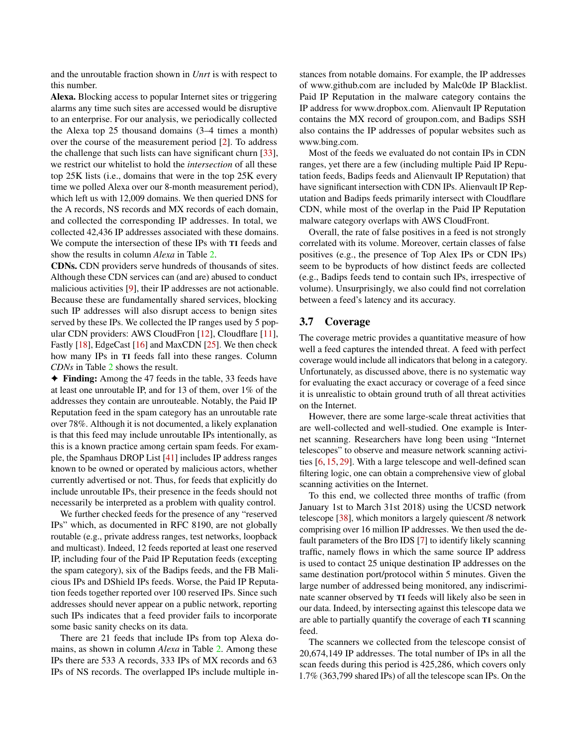and the unroutable fraction shown in *Unrt* is with respect to this number.

Alexa. Blocking access to popular Internet sites or triggering alarms any time such sites are accessed would be disruptive to an enterprise. For our analysis, we periodically collected the Alexa top 25 thousand domains (3–4 times a month) over the course of the measurement period [\[2\]](#page-15-5). To address the challenge that such lists can have significant churn [\[33\]](#page-16-16), we restrict our whitelist to hold the *intersection* of all these top 25K lists (i.e., domains that were in the top 25K every time we polled Alexa over our 8-month measurement period), which left us with 12,009 domains. We then queried DNS for the A records, NS records and MX records of each domain, and collected the corresponding IP addresses. In total, we collected 42,436 IP addresses associated with these domains. We compute the intersection of these IPs with TI feeds and show the results in column *Alexa* in Table [2.](#page-7-1)

CDNs. CDN providers serve hundreds of thousands of sites. Although these CDN services can (and are) abused to conduct malicious activities [\[9\]](#page-15-6), their IP addresses are not actionable. Because these are fundamentally shared services, blocking such IP addresses will also disrupt access to benign sites served by these IPs. We collected the IP ranges used by 5 popular CDN providers: AWS CloudFron [\[12\]](#page-15-7), Cloudflare [\[11\]](#page-15-8), Fastly [\[18\]](#page-16-17), EdgeCast [\[16\]](#page-16-18) and MaxCDN [\[25\]](#page-16-19). We then check how many IPs in TI feeds fall into these ranges. Column *CDNs* in Table [2](#page-7-1) shows the result.

✦ Finding: Among the 47 feeds in the table, 33 feeds have at least one unroutable IP, and for 13 of them, over 1% of the addresses they contain are unrouteable. Notably, the Paid IP Reputation feed in the spam category has an unroutable rate over 78%. Although it is not documented, a likely explanation is that this feed may include unroutable IPs intentionally, as this is a known practice among certain spam feeds. For example, the Spamhaus DROP List [\[41\]](#page-16-20) includes IP address ranges known to be owned or operated by malicious actors, whether currently advertised or not. Thus, for feeds that explicitly do include unroutable IPs, their presence in the feeds should not necessarily be interpreted as a problem with quality control.

We further checked feeds for the presence of any "reserved IPs" which, as documented in RFC 8190, are not globally routable (e.g., private address ranges, test networks, loopback and multicast). Indeed, 12 feeds reported at least one reserved IP, including four of the Paid IP Reputation feeds (excepting the spam category), six of the Badips feeds, and the FB Malicious IPs and DShield IPs feeds. Worse, the Paid IP Reputation feeds together reported over 100 reserved IPs. Since such addresses should never appear on a public network, reporting such IPs indicates that a feed provider fails to incorporate some basic sanity checks on its data.

There are 21 feeds that include IPs from top Alexa domains, as shown in column *Alexa* in Table [2.](#page-7-1) Among these IPs there are 533 A records, 333 IPs of MX records and 63 IPs of NS records. The overlapped IPs include multiple instances from notable domains. For example, the IP addresses of www.github.com are included by Malc0de IP Blacklist. Paid IP Reputation in the malware category contains the IP address for www.dropbox.com. Alienvault IP Reputation contains the MX record of groupon.com, and Badips SSH also contains the IP addresses of popular websites such as www.bing.com.

Most of the feeds we evaluated do not contain IPs in CDN ranges, yet there are a few (including multiple Paid IP Reputation feeds, Badips feeds and Alienvault IP Reputation) that have significant intersection with CDN IPs. Alienvault IP Reputation and Badips feeds primarily intersect with Cloudflare CDN, while most of the overlap in the Paid IP Reputation malware category overlaps with AWS CloudFront.

Overall, the rate of false positives in a feed is not strongly correlated with its volume. Moreover, certain classes of false positives (e.g., the presence of Top Alex IPs or CDN IPs) seem to be byproducts of how distinct feeds are collected (e.g., Badips feeds tend to contain such IPs, irrespective of volume). Unsurprisingly, we also could find not correlation between a feed's latency and its accuracy.

### <span id="page-8-0"></span>3.7 Coverage

The coverage metric provides a quantitative measure of how well a feed captures the intended threat. A feed with perfect coverage would include all indicators that belong in a category. Unfortunately, as discussed above, there is no systematic way for evaluating the exact accuracy or coverage of a feed since it is unrealistic to obtain ground truth of all threat activities on the Internet.

However, there are some large-scale threat activities that are well-collected and well-studied. One example is Internet scanning. Researchers have long been using "Internet telescopes" to observe and measure network scanning activities [\[6,](#page-15-9) [15,](#page-16-21) [29\]](#page-16-22). With a large telescope and well-defined scan filtering logic, one can obtain a comprehensive view of global scanning activities on the Internet.

To this end, we collected three months of traffic (from January 1st to March 31st 2018) using the UCSD network telescope [\[38\]](#page-16-23), which monitors a largely quiescent /8 network comprising over 16 million IP addresses. We then used the default parameters of the Bro IDS [\[7\]](#page-15-10) to identify likely scanning traffic, namely flows in which the same source IP address is used to contact 25 unique destination IP addresses on the same destination port/protocol within 5 minutes. Given the large number of addressed being monitored, any indiscriminate scanner observed by TI feeds will likely also be seen in our data. Indeed, by intersecting against this telescope data we are able to partially quantify the coverage of each TI scanning feed.

The scanners we collected from the telescope consist of 20,674,149 IP addresses. The total number of IPs in all the scan feeds during this period is 425,286, which covers only 1.7% (363,799 shared IPs) of all the telescope scan IPs. On the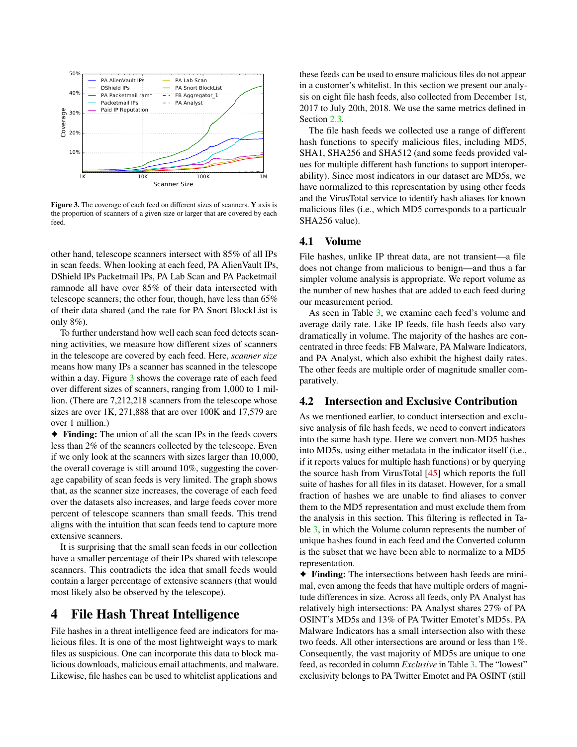<span id="page-9-0"></span>

Figure 3. The coverage of each feed on different sizes of scanners. Y axis is the proportion of scanners of a given size or larger that are covered by each feed.

other hand, telescope scanners intersect with 85% of all IPs in scan feeds. When looking at each feed, PA AlienVault IPs, DShield IPs Packetmail IPs, PA Lab Scan and PA Packetmail ramnode all have over 85% of their data intersected with telescope scanners; the other four, though, have less than 65% of their data shared (and the rate for PA Snort BlockList is only 8%).

To further understand how well each scan feed detects scanning activities, we measure how different sizes of scanners in the telescope are covered by each feed. Here, *scanner size* means how many IPs a scanner has scanned in the telescope within a day. Figure [3](#page-9-0) shows the coverage rate of each feed over different sizes of scanners, ranging from 1,000 to 1 million. (There are 7,212,218 scanners from the telescope whose sizes are over 1K, 271,888 that are over 100K and 17,579 are over 1 million.)

✦ Finding: The union of all the scan IPs in the feeds covers less than 2% of the scanners collected by the telescope. Even if we only look at the scanners with sizes larger than 10,000, the overall coverage is still around 10%, suggesting the coverage capability of scan feeds is very limited. The graph shows that, as the scanner size increases, the coverage of each feed over the datasets also increases, and large feeds cover more percent of telescope scanners than small feeds. This trend aligns with the intuition that scan feeds tend to capture more extensive scanners.

It is surprising that the small scan feeds in our collection have a smaller percentage of their IPs shared with telescope scanners. This contradicts the idea that small feeds would contain a larger percentage of extensive scanners (that would most likely also be observed by the telescope).

## 4 File Hash Threat Intelligence

File hashes in a threat intelligence feed are indicators for malicious files. It is one of the most lightweight ways to mark files as suspicious. One can incorporate this data to block malicious downloads, malicious email attachments, and malware. Likewise, file hashes can be used to whitelist applications and

these feeds can be used to ensure malicious files do not appear in a customer's whitelist. In this section we present our analysis on eight file hash feeds, also collected from December 1st, 2017 to July 20th, 2018. We use the same metrics defined in Section [2.3.](#page-2-1)

The file hash feeds we collected use a range of different hash functions to specify malicious files, including MD5, SHA1, SHA256 and SHA512 (and some feeds provided values for multiple different hash functions to support interoperability). Since most indicators in our dataset are MD5s, we have normalized to this representation by using other feeds and the VirusTotal service to identify hash aliases for known malicious files (i.e., which MD5 corresponds to a particualr SHA256 value).

#### 4.1 Volume

File hashes, unlike IP threat data, are not transient—a file does not change from malicious to benign—and thus a far simpler volume analysis is appropriate. We report volume as the number of new hashes that are added to each feed during our measurement period.

As seen in Table [3,](#page-10-0) we examine each feed's volume and average daily rate. Like IP feeds, file hash feeds also vary dramatically in volume. The majority of the hashes are concentrated in three feeds: FB Malware, PA Malware Indicators, and PA Analyst, which also exhibit the highest daily rates. The other feeds are multiple order of magnitude smaller comparatively.

## <span id="page-9-1"></span>4.2 Intersection and Exclusive Contribution

As we mentioned earlier, to conduct intersection and exclusive analysis of file hash feeds, we need to convert indicators into the same hash type. Here we convert non-MD5 hashes into MD5s, using either metadata in the indicator itself (i.e., if it reports values for multiple hash functions) or by querying the source hash from VirusTotal [\[45\]](#page-16-24) which reports the full suite of hashes for all files in its dataset. However, for a small fraction of hashes we are unable to find aliases to conver them to the MD5 representation and must exclude them from the analysis in this section. This filtering is reflected in Table [3,](#page-10-0) in which the Volume column represents the number of unique hashes found in each feed and the Converted column is the subset that we have been able to normalize to a MD5 representation.

✦ Finding: The intersections between hash feeds are minimal, even among the feeds that have multiple orders of magnitude differences in size. Across all feeds, only PA Analyst has relatively high intersections: PA Analyst shares 27% of PA OSINT's MD5s and 13% of PA Twitter Emotet's MD5s. PA Malware Indicators has a small intersection also with these two feeds. All other intersections are around or less than 1%. Consequently, the vast majority of MD5s are unique to one feed, as recorded in column *Exclusive* in Table [3.](#page-10-0) The "lowest" exclusivity belongs to PA Twitter Emotet and PA OSINT (still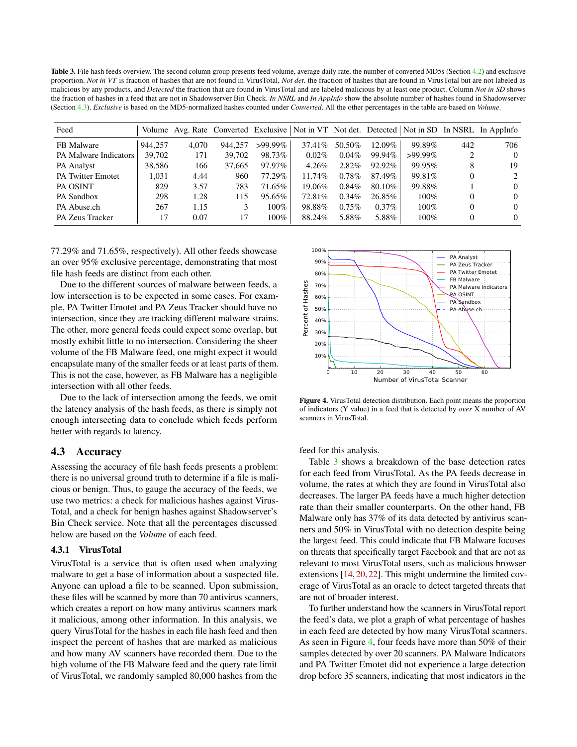<span id="page-10-0"></span>Table 3. File hash feeds overview. The second column group presents feed volume, average daily rate, the number of converted MD5s (Section [4.2\)](#page-9-1) and exclusive proportion. *Not in VT* is fraction of hashes that are not found in VirusTotal, *Not det.* the fraction of hashes that are found in VirusTotal but are not labeled as malicious by any products, and *Detected* the fraction that are found in VirusTotal and are labeled malicious by at least one product. Column *Not in SD* shows the fraction of hashes in a feed that are not in Shadowserver Bin Check. *In NSRL* and *In AppInfo* show the absolute number of hashes found in Shadowserver (Section [4.3\)](#page-10-1). *Exclusive* is based on the MD5-normalized hashes counted under *Converted*. All the other percentages in the table are based on *Volume*.

| Feed                     |         |       |         |            |           |          |          |            |     | Volume Avg. Rate Converted Exclusive Not in VT Not det. Detected Not in SD In NSRL In AppInfo |
|--------------------------|---------|-------|---------|------------|-----------|----------|----------|------------|-----|-----------------------------------------------------------------------------------------------|
| FB Malware               | 944.257 | 4.070 | 944,257 | $>99.99\%$ | 37.41\%   | 50.50%   | 12.09%   | 99.89%     | 442 | 706                                                                                           |
| PA Malware Indicators    | 39,702  | 171   | 39.702  | 98.73%     | $0.02\%$  | $0.04\%$ | 99.94%   | $>99.99\%$ |     | $\Omega$                                                                                      |
| PA Analyst               | 38.586  | 166   | 37.665  | 97.97%     | $4.26\%$  | $2.82\%$ | 92.92%   | 99.95%     |     | 19                                                                                            |
| <b>PA Twitter Emotet</b> | 1.031   | 4.44  | 960     | 77.29%     | $11.74\%$ | $0.78\%$ | 87.49%   | 99.81\%    |     | $2^{\circ}$                                                                                   |
| PA OSINT                 | 829     | 3.57  | 783     | 71.65%     | 19.06%    | $0.84\%$ | 80.10\%  | 99.88%     |     | $\Omega$                                                                                      |
| PA Sandbox               | 298     | 1.28  | 115     | 95.65%     | 72.81%    | $0.34\%$ | 26.85%   | $100\%$    |     | $\Omega$                                                                                      |
| PA Abuse.ch              | 267     | 1.15  |         | 100%       | 98.88%    | $0.75\%$ | $0.37\%$ | $100\%$    |     | $\Omega$                                                                                      |
| PA Zeus Tracker          | 17      | 0.07  | 17      | $100\%$    | 88.24%    | 5.88%    | 5.88%    | $100\%$    |     | $\Omega$                                                                                      |

77.29% and 71.65%, respectively). All other feeds showcase an over 95% exclusive percentage, demonstrating that most file hash feeds are distinct from each other.

Due to the different sources of malware between feeds, a low intersection is to be expected in some cases. For example, PA Twitter Emotet and PA Zeus Tracker should have no intersection, since they are tracking different malware strains. The other, more general feeds could expect some overlap, but mostly exhibit little to no intersection. Considering the sheer volume of the FB Malware feed, one might expect it would encapsulate many of the smaller feeds or at least parts of them. This is not the case, however, as FB Malware has a negligible intersection with all other feeds.

Due to the lack of intersection among the feeds, we omit the latency analysis of the hash feeds, as there is simply not enough intersecting data to conclude which feeds perform better with regards to latency.

#### <span id="page-10-1"></span>4.3 Accuracy

Assessing the accuracy of file hash feeds presents a problem: there is no universal ground truth to determine if a file is malicious or benign. Thus, to gauge the accuracy of the feeds, we use two metrics: a check for malicious hashes against Virus-Total, and a check for benign hashes against Shadowserver's Bin Check service. Note that all the percentages discussed below are based on the *Volume* of each feed.

#### 4.3.1 VirusTotal

VirusTotal is a service that is often used when analyzing malware to get a base of information about a suspected file. Anyone can upload a file to be scanned. Upon submission, these files will be scanned by more than 70 antivirus scanners, which creates a report on how many antivirus scanners mark it malicious, among other information. In this analysis, we query VirusTotal for the hashes in each file hash feed and then inspect the percent of hashes that are marked as malicious and how many AV scanners have recorded them. Due to the high volume of the FB Malware feed and the query rate limit of VirusTotal, we randomly sampled 80,000 hashes from the

<span id="page-10-2"></span>

Figure 4. VirusTotal detection distribution. Each point means the proportion of indicators (Y value) in a feed that is detected by *over* X number of AV scanners in VirusTotal.

feed for this analysis.

Table [3](#page-10-0) shows a breakdown of the base detection rates for each feed from VirusTotal. As the PA feeds decrease in volume, the rates at which they are found in VirusTotal also decreases. The larger PA feeds have a much higher detection rate than their smaller counterparts. On the other hand, FB Malware only has 37% of its data detected by antivirus scanners and 50% in VirusTotal with no detection despite being the largest feed. This could indicate that FB Malware focuses on threats that specifically target Facebook and that are not as relevant to most VirusTotal users, such as malicious browser extensions [\[14,](#page-16-25) [20,](#page-16-26) [22\]](#page-16-27). This might undermine the limited coverage of VirusTotal as an oracle to detect targeted threats that are not of broader interest.

To further understand how the scanners in VirusTotal report the feed's data, we plot a graph of what percentage of hashes in each feed are detected by how many VirusTotal scanners. As seen in Figure [4,](#page-10-2) four feeds have more than 50% of their samples detected by over 20 scanners. PA Malware Indicators and PA Twitter Emotet did not experience a large detection drop before 35 scanners, indicating that most indicators in the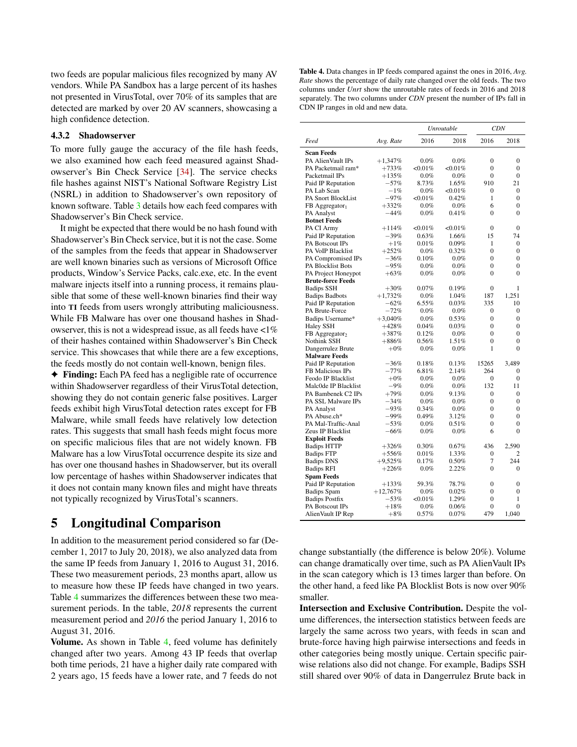two feeds are popular malicious files recognized by many AV vendors. While PA Sandbox has a large percent of its hashes not presented in VirusTotal, over 70% of its samples that are detected are marked by over 20 AV scanners, showcasing a high confidence detection.

#### 4.3.2 Shadowserver

To more fully gauge the accuracy of the file hash feeds, we also examined how each feed measured against Shadowserver's Bin Check Service [\[34\]](#page-16-28). The service checks file hashes against NIST's National Software Registry List (NSRL) in addition to Shadowserver's own repository of known software. Table [3](#page-10-0) details how each feed compares with Shadowserver's Bin Check service.

It might be expected that there would be no hash found with Shadowserver's Bin Check service, but it is not the case. Some of the samples from the feeds that appear in Shadowserver are well known binaries such as versions of Microsoft Office products, Window's Service Packs, calc.exe, etc. In the event malware injects itself into a running process, it remains plausible that some of these well-known binaries find their way into TI feeds from users wrongly attributing maliciousness. While FB Malware has over one thousand hashes in Shadowserver, this is not a widespread issue, as all feeds have  $\langle 1\% \rangle$ of their hashes contained within Shadowserver's Bin Check service. This showcases that while there are a few exceptions, the feeds mostly do not contain well-known, benign files.

✦ Finding: Each PA feed has a negligible rate of occurrence within Shadowserver regardless of their VirusTotal detection, showing they do not contain generic false positives. Larger feeds exhibit high VirusTotal detection rates except for FB Malware, while small feeds have relatively low detection rates. This suggests that small hash feeds might focus more on specific malicious files that are not widely known. FB Malware has a low VirusTotal occurrence despite its size and has over one thousand hashes in Shadowserver, but its overall low percentage of hashes within Shadowserver indicates that it does not contain many known files and might have threats not typically recognized by VirusTotal's scanners.

# 5 Longitudinal Comparison

In addition to the measurement period considered so far (December 1, 2017 to July 20, 2018), we also analyzed data from the same IP feeds from January 1, 2016 to August 31, 2016. These two measurement periods, 23 months apart, allow us to measure how these IP feeds have changed in two years. Table [4](#page-11-0) summarizes the differences between these two measurement periods. In the table, *2018* represents the current measurement period and *2016* the period January 1, 2016 to August 31, 2016.

Volume. As shown in Table [4,](#page-11-0) feed volume has definitely changed after two years. Among 43 IP feeds that overlap both time periods, 21 have a higher daily rate compared with 2 years ago, 15 feeds have a lower rate, and 7 feeds do not

<span id="page-11-0"></span>Table 4. Data changes in IP feeds compared against the ones in 2016, *Avg. Rate* shows the percentage of daily rate changed over the old feeds. The two columns under *Unrt* show the unroutable rates of feeds in 2016 and 2018 separately. The two columns under *CDN* present the number of IPs fall in CDN IP ranges in old and new data.

|                                             |                      |            | Unroutable | <b>CDN</b>       |                  |  |
|---------------------------------------------|----------------------|------------|------------|------------------|------------------|--|
| Feed                                        | Avg. Rate            | 2016       | 2018       | 2016             | 2018             |  |
| <b>Scan Feeds</b>                           |                      |            |            |                  |                  |  |
| PA AlienVault IPs                           | $+1,347%$            | $0.0\%$    | $0.0\%$    | $\mathbf{0}$     | $\overline{0}$   |  |
| PA Packetmail ram*                          | $+733%$              | $<,0.01\%$ | $<$ 0.01%  | $\theta$         | $\overline{0}$   |  |
| Packetmail IPs                              | $+135%$              | $0.0\%$    | $0.0\%$    | $\boldsymbol{0}$ | 0                |  |
| Paid IP Reputation                          | $-57\%$              | 8.73%      | 1.65%      | 910              | 21               |  |
| PA Lab Scan                                 | $-1%$                | $0.0\%$    | $<,0.01\%$ | $\Omega$         | $\Omega$         |  |
| PA Snort BlockList                          | $-97%$               | <0.01%     | 0.42%      | 1                | $\overline{0}$   |  |
| $FB$ Aggregator <sub>1</sub>                | $+332%$              | $0.0\%$    | $0.0\%$    | 6                | $\theta$         |  |
| PA Analyst                                  | $-44%$               | $0.0\%$    | 0.41%      | $\theta$         | $\overline{0}$   |  |
| <b>Botnet Feeds</b>                         |                      |            |            |                  |                  |  |
| PA CI Army                                  | $+114%$              | <0.01%     | $<,0.01\%$ | $\boldsymbol{0}$ | $\mathbf{0}$     |  |
| Paid IP Reputation                          | $-39\%$              | 0.63%      | 1.66%      | 15               | 74               |  |
| PA Botscout IPs                             | $+1\%$               | 0.01%      | 0.09%      | 1                | 0                |  |
| PA VoIP Blacklist                           | $+252%$              | $0.0\%$    | 0.32%      | $\theta$         | $\overline{0}$   |  |
| PA Compromised IPs                          | $-36%$               | 0.10%      | $0.0\%$    | $\mathbf{0}$     | $\overline{0}$   |  |
| PA Blocklist Bots                           | $-95%$               | $0.0\%$    | $0.0\%$    | $\mathbf{0}$     | $\overline{0}$   |  |
| PA Project Honeypot                         | $+63%$               | $0.0\%$    | $0.0\%$    | 0                | $\Omega$         |  |
| <b>Brute-force Feeds</b>                    |                      |            |            |                  |                  |  |
| <b>Badips SSH</b>                           | $+30%$               | $0.07\%$   | 0.19%      | $\boldsymbol{0}$ | 1                |  |
| <b>Badips Badbots</b>                       | $+1,732%$            | $0.0\%$    | 1.04%      | 187              | 1,251            |  |
| Paid IP Reputation                          | $-62%$               | 6.55%      | 0.03%      | 335              | 10               |  |
| PA Brute-Force                              | $-72%$               | $0.0\%$    | $0.0\%$    | $\boldsymbol{0}$ | 0                |  |
| Badips Username*                            | $+3,040\%$           | $0.0\%$    | 0.53%      | $\mathbf{0}$     | $\overline{0}$   |  |
| <b>Haley SSH</b>                            | $+428%$              | $0.04\%$   | 0.03%      | $\theta$         | $\theta$         |  |
| FB Aggregator <sub>2</sub>                  | $+387\%$             | $0.12\%$   | $0.0\%$    | $\boldsymbol{0}$ | 0                |  |
| Nothink SSH                                 | $+886\%$             | $0.56\%$   | 1.51%      | $\theta$         | $\theta$         |  |
| Dangerrulez Brute                           | $+0\%$               | $0.0\%$    | $0.0\%$    | 1                | $\overline{0}$   |  |
| <b>Malware Feeds</b>                        |                      |            |            |                  |                  |  |
| Paid IP Reputation                          | $-36%$               | $0.18\%$   | 0.13%      | 15265            | 3,489            |  |
| <b>FB Malicious IPs</b>                     | $-77%$               | $6.81\%$   | 2.14%      | 264              | 0                |  |
| Feodo IP Blacklist                          | $+0\%$               | 0.0%       | 0.0%       | $\mathbf{0}$     | $\boldsymbol{0}$ |  |
| Malc0de IP Blacklist                        | $-9%$                | $0.0\%$    | $0.0\%$    | 132              | 11               |  |
| PA Bambenek C2 IPs                          | $+79%$               | $0.0\%$    | 9.13%      | $\boldsymbol{0}$ | 0                |  |
| PA SSL Malware IPs                          | $-34%$               | $0.0\%$    | 0.0%       | $\mathbf{0}$     | $\overline{0}$   |  |
| PA Analyst                                  | $-93%$               | $0.34\%$   | $0.0\%$    | $\theta$         | $\theta$         |  |
| PA Abuse.ch*                                | $-99%$               | $0.49\%$   | 3.12%      | 0                | 0                |  |
| PA Mal-Traffic-Anal                         | $-53%$               | $0.0\%$    | 0.51%      | $\theta$         | $\theta$         |  |
| Zeus IP Blacklist                           | $-66%$               | $0.0\%$    | $0.0\%$    | 6                | $\theta$         |  |
| <b>Exploit Feeds</b>                        |                      |            |            |                  |                  |  |
| <b>Badips HTTP</b>                          | $+326%$              | 0.30%      | 0.67%      | 436              | 2,590            |  |
| <b>Badips FTP</b>                           | $+556%$              | 0.01%      | 1.33%      | $\boldsymbol{0}$ | $\overline{c}$   |  |
| <b>Badips DNS</b>                           | $+9,525%$            | 0.17%      | 0.50%      | 7                | 244              |  |
| <b>Badips RFI</b>                           | $+226%$              | $0.0\%$    | 2.22%      | $\theta$         | 0                |  |
|                                             |                      |            |            |                  |                  |  |
| <b>Spam Feeds</b><br>Paid IP Reputation     | $+133%$              | 59.3%      | 78.7%      | $\mathbf{0}$     | $\overline{0}$   |  |
|                                             |                      | $0.0\%$    | 0.02%      | $\boldsymbol{0}$ | 0                |  |
| <b>Badips Spam</b><br><b>Badips Postfix</b> | $+12,767%$<br>$-53%$ | <0.01%     | 1.29%      | $\mathbf{0}$     | $\mathbf{1}$     |  |
| PA Botscout IPs                             | $+18%$               | $0.0\%$    | 0.06%      | $\mathbf{0}$     | $\overline{0}$   |  |
| AlienVault IP Rep                           | $+8\%$               | 0.57%      | $0.07\%$   | 479              | 1,040            |  |
|                                             |                      |            |            |                  |                  |  |

change substantially (the difference is below 20%). Volume can change dramatically over time, such as PA AlienVault IPs in the scan category which is 13 times larger than before. On the other hand, a feed like PA Blocklist Bots is now over 90% smaller.

Intersection and Exclusive Contribution. Despite the volume differences, the intersection statistics between feeds are largely the same across two years, with feeds in scan and brute-force having high pairwise intersections and feeds in other categories being mostly unique. Certain specific pairwise relations also did not change. For example, Badips SSH still shared over 90% of data in Dangerrulez Brute back in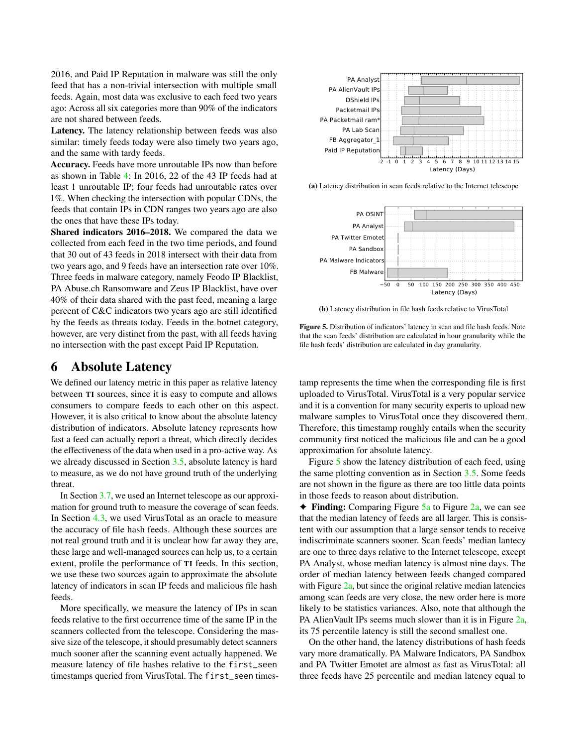2016, and Paid IP Reputation in malware was still the only feed that has a non-trivial intersection with multiple small feeds. Again, most data was exclusive to each feed two years ago: Across all six categories more than 90% of the indicators are not shared between feeds.

Latency. The latency relationship between feeds was also similar: timely feeds today were also timely two years ago, and the same with tardy feeds.

Accuracy. Feeds have more unroutable IPs now than before as shown in Table [4:](#page-11-0) In 2016, 22 of the 43 IP feeds had at least 1 unroutable IP; four feeds had unroutable rates over 1%. When checking the intersection with popular CDNs, the feeds that contain IPs in CDN ranges two years ago are also the ones that have these IPs today.

Shared indicators 2016–2018. We compared the data we collected from each feed in the two time periods, and found that 30 out of 43 feeds in 2018 intersect with their data from two years ago, and 9 feeds have an intersection rate over 10%. Three feeds in malware category, namely Feodo IP Blacklist, PA Abuse.ch Ransomware and Zeus IP Blacklist, have over 40% of their data shared with the past feed, meaning a large percent of C&C indicators two years ago are still identified by the feeds as threats today. Feeds in the botnet category, however, are very distinct from the past, with all feeds having no intersection with the past except Paid IP Reputation.

## 6 Absolute Latency

We defined our latency metric in this paper as relative latency between TI sources, since it is easy to compute and allows consumers to compare feeds to each other on this aspect. However, it is also critical to know about the absolute latency distribution of indicators. Absolute latency represents how fast a feed can actually report a threat, which directly decides the effectiveness of the data when used in a pro-active way. As we already discussed in Section [3.5,](#page-6-2) absolute latency is hard to measure, as we do not have ground truth of the underlying threat.

In Section [3.7,](#page-8-0) we used an Internet telescope as our approximation for ground truth to measure the coverage of scan feeds. In Section [4.3,](#page-10-1) we used VirusTotal as an oracle to measure the accuracy of file hash feeds. Although these sources are not real ground truth and it is unclear how far away they are, these large and well-managed sources can help us, to a certain extent, profile the performance of TI feeds. In this section, we use these two sources again to approximate the absolute latency of indicators in scan IP feeds and malicious file hash feeds.

More specifically, we measure the latency of IPs in scan feeds relative to the first occurrence time of the same IP in the scanners collected from the telescope. Considering the massive size of the telescope, it should presumably detect scanners much sooner after the scanning event actually happened. We measure latency of file hashes relative to the first\_seen timestamps queried from VirusTotal. The first\_seen times-

<span id="page-12-1"></span><span id="page-12-0"></span>

(a) Latency distribution in scan feeds relative to the Internet telescope



(b) Latency distribution in file hash feeds relative to VirusTotal

Figure 5. Distribution of indicators' latency in scan and file hash feeds. Note that the scan feeds' distribution are calculated in hour granularity while the file hash feeds' distribution are calculated in day granularity.

tamp represents the time when the corresponding file is first uploaded to VirusTotal. VirusTotal is a very popular service and it is a convention for many security experts to upload new malware samples to VirusTotal once they discovered them. Therefore, this timestamp roughly entails when the security community first noticed the malicious file and can be a good approximation for absolute latency.

Figure [5](#page-12-0) show the latency distribution of each feed, using the same plotting convention as in Section [3.5.](#page-6-2) Some feeds are not shown in the figure as there are too little data points in those feeds to reason about distribution.

 $\triangle$  Finding: Comparing Figure [5a](#page-12-1) to Figure [2a,](#page-6-0) we can see that the median latency of feeds are all larger. This is consistent with our assumption that a large sensor tends to receive indiscriminate scanners sooner. Scan feeds' median lantecy are one to three days relative to the Internet telescope, except PA Analyst, whose median latency is almost nine days. The order of median latency between feeds changed compared with Figure [2a,](#page-6-0) but since the original relative median latencies among scan feeds are very close, the new order here is more likely to be statistics variances. Also, note that although the PA AlienVault IPs seems much slower than it is in Figure [2a,](#page-6-0) its 75 percentile latency is still the second smallest one.

On the other hand, the latency distributions of hash feeds vary more dramatically. PA Malware Indicators, PA Sandbox and PA Twitter Emotet are almost as fast as VirusTotal: all three feeds have 25 percentile and median latency equal to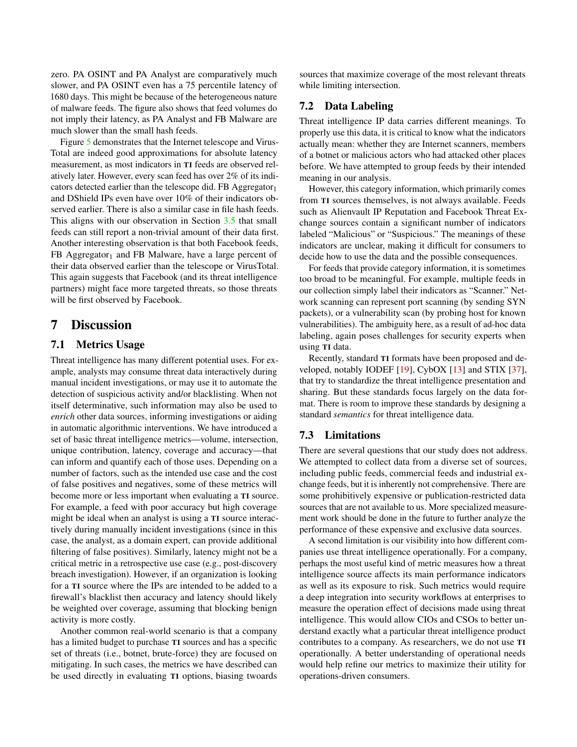zero. PA OSINT and PA Analyst are comparatively much slower, and PA OSINT even has a 75 percentile latency of 1680 days. This might be because of the heterogeneous nature of malware feeds. The figure also shows that feed volumes do not imply their latency, as PA Analyst and FB Malware are much slower than the small hash feeds.

Figure [5](#page-12-0) demonstrates that the Internet telescope and Virus-Total are indeed good approximations for absolute latency measurement, as most indicators in TI feeds are observed relatively later. However, every scan feed has over 2% of its indicators detected earlier than the telescope did. FB Aggregator $<sub>1</sub>$ </sub> and DShield IPs even have over 10% of their indicators observed earlier. There is also a similar case in file hash feeds. This aligns with our observation in Section [3.5](#page-6-2) that small feeds can still report a non-trivial amount of their data first. Another interesting observation is that both Facebook feeds,  $FB$  Aggregator<sub>1</sub> and FB Malware, have a large percent of their data observed earlier than the telescope or VirusTotal. This again suggests that Facebook (and its threat intelligence partners) might face more targeted threats, so those threats will be first observed by Facebook.

## 7 Discussion

### 7.1 Metrics Usage

Threat intelligence has many different potential uses. For example, analysts may consume threat data interactively during manual incident investigations, or may use it to automate the detection of suspicious activity and/or blacklisting. When not itself determinative, such information may also be used to *enrich* other data sources, informing investigations or aiding in automatic algorithmic interventions. We have introduced a set of basic threat intelligence metrics—volume, intersection, unique contribution, latency, coverage and accuracy—that can inform and quantify each of those uses. Depending on a number of factors, such as the intended use case and the cost of false positives and negatives, some of these metrics will become more or less important when evaluating a TI source. For example, a feed with poor accuracy but high coverage might be ideal when an analyst is using a TI source interactively during manually incident investigations (since in this case, the analyst, as a domain expert, can provide additional filtering of false positives). Similarly, latency might not be a critical metric in a retrospective use case (e.g., post-discovery breach investigation). However, if an organization is looking for a TI source where the IPs are intended to be added to a firewall's blacklist then accuracy and latency should likely be weighted over coverage, assuming that blocking benign activity is more costly.

Another common real-world scenario is that a company has a limited budget to purchase TI sources and has a specific set of threats (i.e., botnet, brute-force) they are focused on mitigating. In such cases, the metrics we have described can be used directly in evaluating TI options, biasing twoards

sources that maximize coverage of the most relevant threats while limiting intersection.

## 7.2 Data Labeling

Threat intelligence IP data carries different meanings. To properly use this data, it is critical to know what the indicators actually mean: whether they are Internet scanners, members of a botnet or malicious actors who had attacked other places before. We have attempted to group feeds by their intended meaning in our analysis.

However, this category information, which primarily comes from TI sources themselves, is not always available. Feeds such as Alienvault IP Reputation and Facebook Threat Exchange sources contain a significant number of indicators labeled "Malicious" or "Suspicious." The meanings of these indicators are unclear, making it difficult for consumers to decide how to use the data and the possible consequences.

For feeds that provide category information, it is sometimes too broad to be meaningful. For example, multiple feeds in our collection simply label their indicators as "Scanner." Network scanning can represent port scanning (by sending SYN packets), or a vulnerability scan (by probing host for known vulnerabilities). The ambiguity here, as a result of ad-hoc data labeling, again poses challenges for security experts when using TI data.

Recently, standard TI formats have been proposed and developed, notably IODEF [\[19\]](#page-16-29), CybOX [\[13\]](#page-16-30) and STIX [\[37\]](#page-16-31), that try to standardize the threat intelligence presentation and sharing. But these standards focus largely on the data format. There is room to improve these standards by designing a standard *semantics* for threat intelligence data.

### 7.3 Limitations

There are several questions that our study does not address. We attempted to collect data from a diverse set of sources, including public feeds, commercial feeds and industrial exchange feeds, but it is inherently not comprehensive. There are some prohibitively expensive or publication-restricted data sources that are not available to us. More specialized measurement work should be done in the future to further analyze the performance of these expensive and exclusive data sources.

A second limitation is our visibility into how different companies use threat intelligence operationally. For a company, perhaps the most useful kind of metric measures how a threat intelligence source affects its main performance indicators as well as its exposure to risk. Such metrics would require a deep integration into security workflows at enterprises to measure the operation effect of decisions made using threat intelligence. This would allow CIOs and CSOs to better understand exactly what a particular threat intelligence product contributes to a company. As researchers, we do not use TI operationally. A better understanding of operational needs would help refine our metrics to maximize their utility for operations-driven consumers.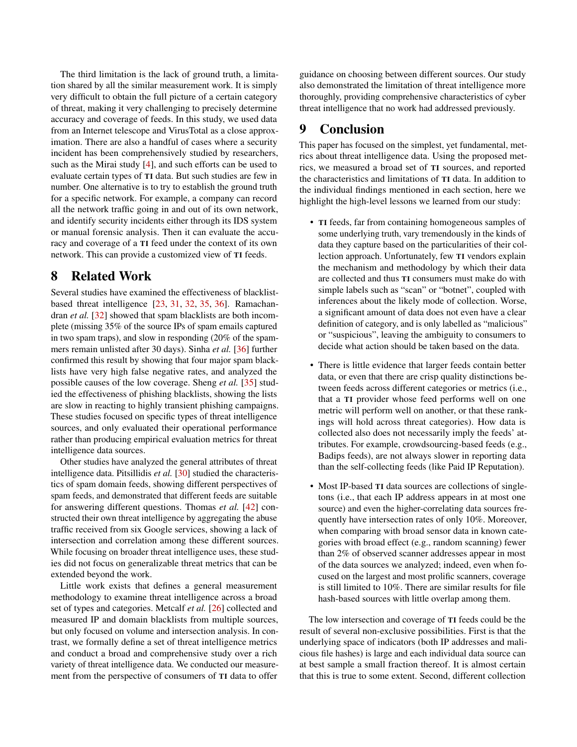The third limitation is the lack of ground truth, a limitation shared by all the similar measurement work. It is simply very difficult to obtain the full picture of a certain category of threat, making it very challenging to precisely determine accuracy and coverage of feeds. In this study, we used data from an Internet telescope and VirusTotal as a close approximation. There are also a handful of cases where a security incident has been comprehensively studied by researchers, such as the Mirai study [\[4\]](#page-15-11), and such efforts can be used to evaluate certain types of TI data. But such studies are few in number. One alternative is to try to establish the ground truth for a specific network. For example, a company can record all the network traffic going in and out of its own network, and identify security incidents either through its IDS system or manual forensic analysis. Then it can evaluate the accuracy and coverage of a TI feed under the context of its own network. This can provide a customized view of TI feeds.

# 8 Related Work

Several studies have examined the effectiveness of blacklistbased threat intelligence [\[23,](#page-16-5) [31,](#page-16-32) [32,](#page-16-10) [35,](#page-16-8) [36\]](#page-16-9). Ramachandran *et al.* [\[32\]](#page-16-10) showed that spam blacklists are both incomplete (missing 35% of the source IPs of spam emails captured in two spam traps), and slow in responding (20% of the spammers remain unlisted after 30 days). Sinha *et al.* [\[36\]](#page-16-9) further confirmed this result by showing that four major spam blacklists have very high false negative rates, and analyzed the possible causes of the low coverage. Sheng *et al.* [\[35\]](#page-16-8) studied the effectiveness of phishing blacklists, showing the lists are slow in reacting to highly transient phishing campaigns. These studies focused on specific types of threat intelligence sources, and only evaluated their operational performance rather than producing empirical evaluation metrics for threat intelligence data sources.

Other studies have analyzed the general attributes of threat intelligence data. Pitsillidis *et al.* [\[30\]](#page-16-7) studied the characteristics of spam domain feeds, showing different perspectives of spam feeds, and demonstrated that different feeds are suitable for answering different questions. Thomas *et al.* [\[42\]](#page-16-1) constructed their own threat intelligence by aggregating the abuse traffic received from six Google services, showing a lack of intersection and correlation among these different sources. While focusing on broader threat intelligence uses, these studies did not focus on generalizable threat metrics that can be extended beyond the work.

Little work exists that defines a general measurement methodology to examine threat intelligence across a broad set of types and categories. Metcalf *et al.* [\[26\]](#page-16-14) collected and measured IP and domain blacklists from multiple sources, but only focused on volume and intersection analysis. In contrast, we formally define a set of threat intelligence metrics and conduct a broad and comprehensive study over a rich variety of threat intelligence data. We conducted our measurement from the perspective of consumers of TI data to offer

guidance on choosing between different sources. Our study also demonstrated the limitation of threat intelligence more thoroughly, providing comprehensive characteristics of cyber threat intelligence that no work had addressed previously.

# 9 Conclusion

This paper has focused on the simplest, yet fundamental, metrics about threat intelligence data. Using the proposed metrics, we measured a broad set of TI sources, and reported the characteristics and limitations of TI data. In addition to the individual findings mentioned in each section, here we highlight the high-level lessons we learned from our study:

- TI feeds, far from containing homogeneous samples of some underlying truth, vary tremendously in the kinds of data they capture based on the particularities of their collection approach. Unfortunately, few TI vendors explain the mechanism and methodology by which their data are collected and thus TI consumers must make do with simple labels such as "scan" or "botnet", coupled with inferences about the likely mode of collection. Worse, a significant amount of data does not even have a clear definition of category, and is only labelled as "malicious" or "suspicious", leaving the ambiguity to consumers to decide what action should be taken based on the data.
- There is little evidence that larger feeds contain better data, or even that there are crisp quality distinctions between feeds across different categories or metrics (i.e., that a TI provider whose feed performs well on one metric will perform well on another, or that these rankings will hold across threat categories). How data is collected also does not necessarily imply the feeds' attributes. For example, crowdsourcing-based feeds (e.g., Badips feeds), are not always slower in reporting data than the self-collecting feeds (like Paid IP Reputation).
- Most IP-based TI data sources are collections of singletons (i.e., that each IP address appears in at most one source) and even the higher-correlating data sources frequently have intersection rates of only 10%. Moreover, when comparing with broad sensor data in known categories with broad effect (e.g., random scanning) fewer than 2% of observed scanner addresses appear in most of the data sources we analyzed; indeed, even when focused on the largest and most prolific scanners, coverage is still limited to 10%. There are similar results for file hash-based sources with little overlap among them.

The low intersection and coverage of TI feeds could be the result of several non-exclusive possibilities. First is that the underlying space of indicators (both IP addresses and malicious file hashes) is large and each individual data source can at best sample a small fraction thereof. It is almost certain that this is true to some extent. Second, different collection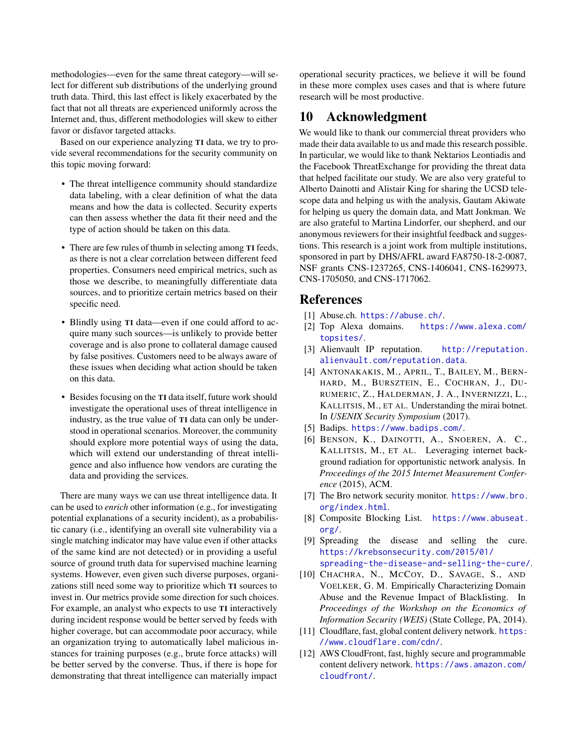methodologies—even for the same threat category—will select for different sub distributions of the underlying ground truth data. Third, this last effect is likely exacerbated by the fact that not all threats are experienced uniformly across the Internet and, thus, different methodologies will skew to either favor or disfavor targeted attacks.

Based on our experience analyzing TI data, we try to provide several recommendations for the security community on this topic moving forward:

- The threat intelligence community should standardize data labeling, with a clear definition of what the data means and how the data is collected. Security experts can then assess whether the data fit their need and the type of action should be taken on this data.
- There are few rules of thumb in selecting among TI feeds, as there is not a clear correlation between different feed properties. Consumers need empirical metrics, such as those we describe, to meaningfully differentiate data sources, and to prioritize certain metrics based on their specific need.
- Blindly using TI data—even if one could afford to acquire many such sources—is unlikely to provide better coverage and is also prone to collateral damage caused by false positives. Customers need to be always aware of these issues when deciding what action should be taken on this data.
- Besides focusing on the TI data itself, future work should investigate the operational uses of threat intelligence in industry, as the true value of TI data can only be understood in operational scenarios. Moreover, the community should explore more potential ways of using the data, which will extend our understanding of threat intelligence and also influence how vendors are curating the data and providing the services.

There are many ways we can use threat intelligence data. It can be used to *enrich* other information (e.g., for investigating potential explanations of a security incident), as a probabilistic canary (i.e., identifying an overall site vulnerability via a single matching indicator may have value even if other attacks of the same kind are not detected) or in providing a useful source of ground truth data for supervised machine learning systems. However, even given such diverse purposes, organizations still need some way to prioritize which TI sources to invest in. Our metrics provide some direction for such choices. For example, an analyst who expects to use TI interactively during incident response would be better served by feeds with higher coverage, but can accommodate poor accuracy, while an organization trying to automatically label malicious instances for training purposes (e.g., brute force attacks) will be better served by the converse. Thus, if there is hope for demonstrating that threat intelligence can materially impact

operational security practices, we believe it will be found in these more complex uses cases and that is where future research will be most productive.

## 10 Acknowledgment

We would like to thank our commercial threat providers who made their data available to us and made this research possible. In particular, we would like to thank Nektarios Leontiadis and the Facebook ThreatExchange for providing the threat data that helped facilitate our study. We are also very grateful to Alberto Dainotti and Alistair King for sharing the UCSD telescope data and helping us with the analysis, Gautam Akiwate for helping us query the domain data, and Matt Jonkman. We are also grateful to Martina Lindorfer, our shepherd, and our anonymous reviewers for their insightful feedback and suggestions. This research is a joint work from multiple institutions, sponsored in part by DHS/AFRL award FA8750-18-2-0087, NSF grants CNS-1237265, CNS-1406041, CNS-1629973, CNS-1705050, and CNS-1717062.

## References

- <span id="page-15-2"></span>[1] Abuse.ch. <https://abuse.ch/>.
- <span id="page-15-5"></span>[2] Top Alexa domains. [https://www.alexa.com/](https://www.alexa.com/topsites/) [topsites/](https://www.alexa.com/topsites/).
- <span id="page-15-0"></span>[3] Alienvault IP reputation. [http://reputation.](http://reputation.alienvault.com/reputation.data) [alienvault.com/reputation.data](http://reputation.alienvault.com/reputation.data).
- <span id="page-15-11"></span>[4] ANTONAKAKIS, M., APRIL, T., BAILEY, M., BERN-HARD, M., BURSZTEIN, E., COCHRAN, J., DU-RUMERIC, Z., HALDERMAN, J. A., INVERNIZZI, L., KALLITSIS, M., ET AL. Understanding the mirai botnet. In *USENIX Security Symposium* (2017).
- <span id="page-15-1"></span>[5] Badips. <https://www.badips.com/>.
- <span id="page-15-9"></span>[6] BENSON, K., DAINOTTI, A., SNOEREN, A. C., KALLITSIS, M., ET AL. Leveraging internet background radiation for opportunistic network analysis. In *Proceedings of the 2015 Internet Measurement Conference* (2015), ACM.
- <span id="page-15-10"></span>[7] The Bro network security monitor. [https://www.bro.](https://www.bro.org/index.html) [org/index.html](https://www.bro.org/index.html).
- <span id="page-15-4"></span>[8] Composite Blocking List. [https://www.abuseat.](https://www.abuseat.org/) [org/](https://www.abuseat.org/).
- <span id="page-15-6"></span>[9] Spreading the disease and selling the cure. [https://krebsonsecurity.com/2015/01/](https://krebsonsecurity.com/2015/01/spreading-the-disease-and-selling-the-cure/) [spreading-the-disease-and-selling-the-cure/](https://krebsonsecurity.com/2015/01/spreading-the-disease-and-selling-the-cure/).
- <span id="page-15-3"></span>[10] CHACHRA, N., MCCOY, D., SAVAGE, S., AND VOELKER, G. M. Empirically Characterizing Domain Abuse and the Revenue Impact of Blacklisting. In *Proceedings of the Workshop on the Economics of Information Security (WEIS)* (State College, PA, 2014).
- <span id="page-15-8"></span>[11] Cloudflare, fast, global content delivery network. [https:](https://www.cloudflare.com/cdn/) [//www.cloudflare.com/cdn/](https://www.cloudflare.com/cdn/).
- <span id="page-15-7"></span>[12] AWS CloudFront, fast, highly secure and programmable content delivery network. [https://aws.amazon.com/](https://aws.amazon.com/cloudfront/) [cloudfront/](https://aws.amazon.com/cloudfront/).